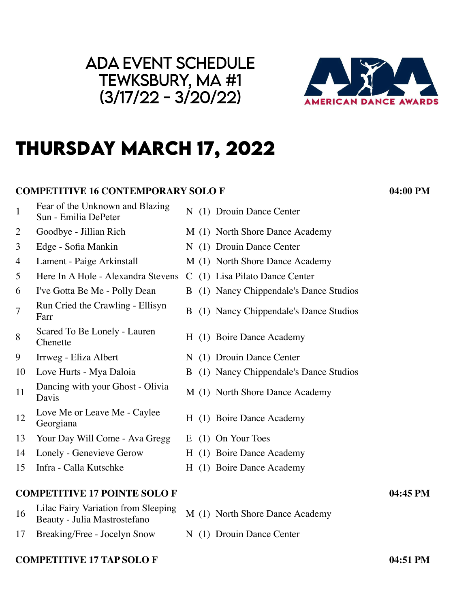# ada event schedule tewksbury, ma #1 (3/17/22 - 3/20/22)



## **thursday march 17, 2022**

### **COMPETITIVE 16 CONTEMPORARY SOLO F 04:00 PM**

- **1** Fear of the Unknown and Blazing Sun - Emilia DePeter
- 2 Goodbye Jillian Rich M (1) North Shore Dance Academy
- 3 Edge Sofia Mankin N (1) Drouin Dance Center
- 
- 5 Here In A Hole Alexandra Stevens C (1) Lisa Pilato Dance Center
- 
- 7 Run Cried the Crawling Ellisyn<br>Farr
- 8 Scared To Be Lonely Lauren<br>Chenette
- 
- 
- 11 Dancing with your Ghost Olivia<br>Davis
- 12 Love Me or Leave Me Caylee<br>Georgiana
- 13 Your Day Will Come Ava Gregg E (1) On Your Toes
- 14 Lonely Genevieve Gerow H (1) Boire Dance Academy
- 

### **COMPETITIVE 17 POINTE SOLO F 04:45 PM**

- 16 Lilac Fairy Variation from Sleeping<br>Beauty Julia Mastrostefano
- 17 Breaking/Free Jocelyn Snow N (1) Drouin Dance Center

### **COMPETITIVE 17 TAP SOLO F 04:51 PM**

|  |  | N (1) Drouin Dance Center |  |
|--|--|---------------------------|--|
|  |  |                           |  |

- 
- 
- 4 Lament Paige Arkinstall M (1) North Shore Dance Academy
	-
- 6 I've Gotta Be Me Polly Dean B (1) Nancy Chippendale's Dance Studios
	- B (1) Nancy Chippendale's Dance Studios
	- H (1) Boire Dance Academy
- 9 Irrweg Eliza Albert N (1) Drouin Dance Center
- 10 Love Hurts Mya Daloia B (1) Nancy Chippendale's Dance Studios
	- M (1) North Shore Dance Academy
	- H (1) Boire Dance Academy
	- -
- 15 Infra Calla Kutschke H (1) Boire Dance Academy

- M (1) North Shore Dance Academy
-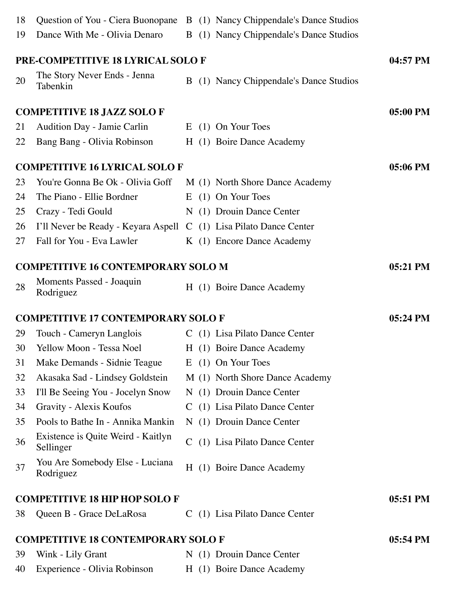| 18 | Question of You - Ciera Buonopane B (1) Nancy Chippendale's Dance Studios |               |                                         |          |
|----|---------------------------------------------------------------------------|---------------|-----------------------------------------|----------|
| 19 | Dance With Me - Olivia Denaro                                             |               | B (1) Nancy Chippendale's Dance Studios |          |
|    | PRE-COMPETITIVE 18 LYRICAL SOLO F                                         |               |                                         | 04:57 PM |
| 20 | The Story Never Ends - Jenna<br>Tabenkin                                  |               | B (1) Nancy Chippendale's Dance Studios |          |
|    | <b>COMPETITIVE 18 JAZZ SOLO F</b>                                         |               |                                         | 05:00 PM |
| 21 | <b>Audition Day - Jamie Carlin</b>                                        |               | $E(1)$ On Your Toes                     |          |
| 22 | Bang Bang - Olivia Robinson                                               |               | H (1) Boire Dance Academy               |          |
|    | <b>COMPETITIVE 16 LYRICAL SOLO F</b>                                      |               |                                         | 05:06 PM |
| 23 | You're Gonna Be Ok - Olivia Goff                                          |               | M (1) North Shore Dance Academy         |          |
| 24 | The Piano - Ellie Bordner                                                 |               | $E(1)$ On Your Toes                     |          |
| 25 | Crazy - Tedi Gould                                                        |               | N (1) Drouin Dance Center               |          |
| 26 | I'll Never be Ready - Keyara Aspell C (1) Lisa Pilato Dance Center        |               |                                         |          |
| 27 | Fall for You - Eva Lawler                                                 |               | K (1) Encore Dance Academy              |          |
|    | <b>COMPETITIVE 16 CONTEMPORARY SOLO M</b>                                 |               |                                         | 05:21 PM |
| 28 | Moments Passed - Joaquin<br>Rodriguez                                     |               | H (1) Boire Dance Academy               |          |
|    |                                                                           |               |                                         |          |
|    | <b>COMPETITIVE 17 CONTEMPORARY SOLO F</b>                                 |               |                                         | 05:24 PM |
| 29 | Touch - Cameryn Langlois                                                  |               | C (1) Lisa Pilato Dance Center          |          |
| 30 | Yellow Moon - Tessa Noel                                                  |               | H (1) Boire Dance Academy               |          |
| 31 | Make Demands - Sidnie Teague                                              |               | $E(1)$ On Your Toes                     |          |
| 32 | Akasaka Sad - Lindsey Goldstein                                           |               | M (1) North Shore Dance Academy         |          |
| 33 | I'll Be Seeing You - Jocelyn Snow                                         |               | N (1) Drouin Dance Center               |          |
| 34 | Gravity - Alexis Koufos                                                   |               | C (1) Lisa Pilato Dance Center          |          |
| 35 | Pools to Bathe In - Annika Mankin                                         |               | N (1) Drouin Dance Center               |          |
| 36 | Existence is Quite Weird - Kaitlyn<br>Sellinger                           | $\mathcal{C}$ | (1) Lisa Pilato Dance Center            |          |
| 37 | You Are Somebody Else - Luciana<br>Rodriguez                              |               | H (1) Boire Dance Academy               |          |
|    | <b>COMPETITIVE 18 HIP HOP SOLO F</b>                                      |               |                                         | 05:51 PM |
| 38 | Queen B - Grace DeLaRosa                                                  |               | C (1) Lisa Pilato Dance Center          |          |
|    | <b>COMPETITIVE 18 CONTEMPORARY SOLO F</b>                                 |               |                                         | 05:54 PM |
| 39 | Wink - Lily Grant                                                         |               | N (1) Drouin Dance Center               |          |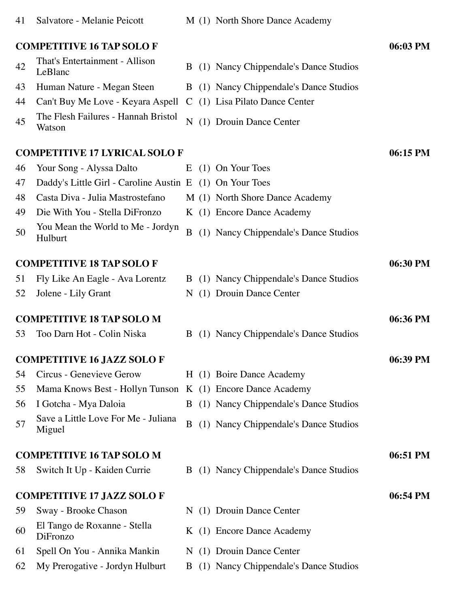### **COMPETITIVE 16 TAP SOLO F 06:03 PM**

- 42 That's Entertainment Allison<br>LeBlanc 43 Human Nature - Megan Steen B (1) Nancy Chippendale's Dance Studios 44 Can't Buy Me Love - Keyara Aspell C (1) Lisa Pilato Dance Center
- 45 The Flesh Failures Hannah Bristol<br>Watson

### **COMPETITIVE 17 LYRICAL SOLO F 06:15 PM** 46 Your Song - Alyssa Dalto E (1) On Your Toes 47 Daddy's Little Girl - Caroline Austin E (1) On Your Toes 48 Casta Diva - Julia Mastrostefano M (1) North Shore Dance Academy 49 Die With You - Stella DiFronzo K (1) Encore Dance Academy 50 You Mean the World to Me - Jordyn<br>Hulburt B (1) Nancy Chippendale's Dance Studios **COMPETITIVE 18 TAP SOLO F 06:30 PM** 51 Fly Like An Eagle - Ava Lorentz B (1) Nancy Chippendale's Dance Studios 52 Jolene - Lily Grant N (1) Drouin Dance Center **COMPETITIVE 18 TAP SOLO M 06:36 PM**

### **COMPETITIVE 16 JAZZ SOLO F 06:39 PM**

- 
- 
- 57 Save a Little Love For Me Juliana<br>Miguel

### **COMPETITIVE 16 TAP SOLO M 06:51 PM**

### **COMPETITIVE 17 JAZZ SOLO F 06:54 PM**

- 
- <sup>60</sup> El Tango de Roxanne Stella
- 61 Spell On You Annika Mankin N (1) Drouin Dance Center
- 
- B (1) Nancy Chippendale's Dance Studios
	-
	-
- N (1) Drouin Dance Center

- -
- 53 Too Darn Hot Colin Niska B (1) Nancy Chippendale's Dance Studios

- 54 Circus Genevieve Gerow H (1) Boire Dance Academy 55 Mama Knows Best - Hollyn Tunson K (1) Encore Dance Academy 56 I Gotcha - Mya Daloia B (1) Nancy Chippendale's Dance Studios B (1) Nancy Chippendale's Dance Studios
- 58 Switch It Up Kaiden Currie B (1) Nancy Chippendale's Dance Studios

- 59 Sway Brooke Chason N (1) Drouin Dance Center
	- K (1) Encore Dance Academy
	-
- 62 My Prerogative Jordyn Hulburt B (1) Nancy Chippendale's Dance Studios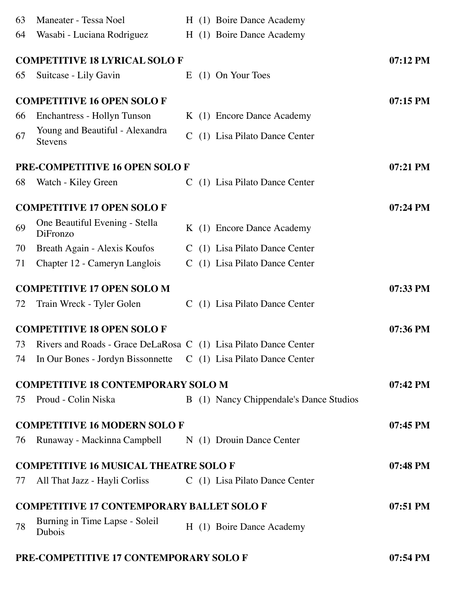| 63 | Maneater - Tessa Noel                                               |  | H (1) Boire Dance Academy               |            |
|----|---------------------------------------------------------------------|--|-----------------------------------------|------------|
| 64 | Wasabi - Luciana Rodriguez                                          |  | H (1) Boire Dance Academy               |            |
|    | <b>COMPETITIVE 18 LYRICAL SOLO F</b>                                |  |                                         | 07:12 PM   |
| 65 | Suitcase - Lily Gavin                                               |  | $E(1)$ On Your Toes                     |            |
|    | <b>COMPETITIVE 16 OPEN SOLO F</b>                                   |  |                                         | 07:15 PM   |
| 66 | Enchantress - Hollyn Tunson                                         |  | K (1) Encore Dance Academy              |            |
| 67 | Young and Beautiful - Alexandra<br><b>Stevens</b>                   |  | C (1) Lisa Pilato Dance Center          |            |
|    | <b>PRE-COMPETITIVE 16 OPEN SOLOF</b>                                |  |                                         | 07:21 PM   |
| 68 | Watch - Kiley Green                                                 |  | C (1) Lisa Pilato Dance Center          |            |
|    | <b>COMPETITIVE 17 OPEN SOLO F</b>                                   |  |                                         | 07:24 PM   |
| 69 | One Beautiful Evening - Stella<br>DiFronzo                          |  | K (1) Encore Dance Academy              |            |
| 70 | Breath Again - Alexis Koufos                                        |  | C (1) Lisa Pilato Dance Center          |            |
| 71 | Chapter 12 - Cameryn Langlois                                       |  | C (1) Lisa Pilato Dance Center          |            |
|    | <b>COMPETITIVE 17 OPEN SOLO M</b>                                   |  |                                         | 07:33 PM   |
| 72 | Train Wreck - Tyler Golen                                           |  | C (1) Lisa Pilato Dance Center          |            |
|    | <b>COMPETITIVE 18 OPEN SOLO F</b>                                   |  |                                         | 07:36 PM   |
| 73 | Rivers and Roads - Grace DeLaRosa C (1) Lisa Pilato Dance Center    |  |                                         |            |
|    | 74 In Our Bones - Jordyn Bissonnette C (1) Lisa Pilato Dance Center |  |                                         |            |
|    | <b>COMPETITIVE 18 CONTEMPORARY SOLO M</b>                           |  |                                         | 07:42 PM   |
| 75 | Proud - Colin Niska                                                 |  | B (1) Nancy Chippendale's Dance Studios |            |
|    | <b>COMPETITIVE 16 MODERN SOLO F</b>                                 |  |                                         | $07:45$ PM |
| 76 | Runaway - Mackinna Campbell N (1) Drouin Dance Center               |  |                                         |            |
|    | <b>COMPETITIVE 16 MUSICAL THEATRE SOLO F</b>                        |  |                                         | 07:48 PM   |
| 77 | All That Jazz - Hayli Corliss                                       |  | C (1) Lisa Pilato Dance Center          |            |
|    | <b>COMPETITIVE 17 CONTEMPORARY BALLET SOLO F</b>                    |  |                                         | 07:51 PM   |
| 78 | Burning in Time Lapse - Soleil<br>Dubois                            |  | H (1) Boire Dance Academy               |            |
|    | PRE-COMPETITIVE 17 CONTEMPORARY SOLO F                              |  |                                         | 07:54 PM   |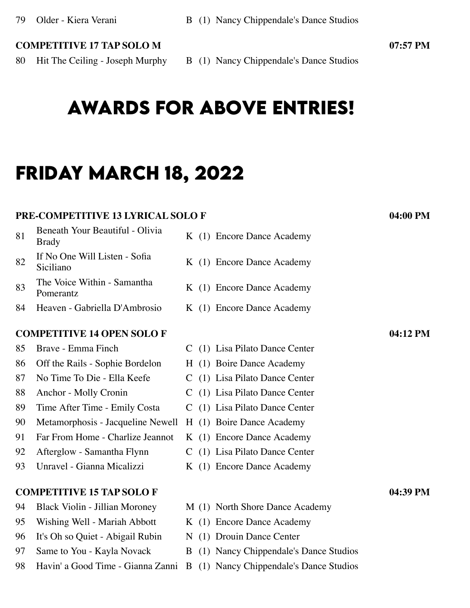### **COMPETITIVE 17 TAP SOLO M 07:57 PM**

80 Hit The Ceiling - Joseph Murphy B (1) Nancy Chippendale's Dance Studios

## **awards for above entrIes!**

## **frIday march 18, 2022**

|    | PRE-COMPETITIVE 13 LYRICAL SOLO F                           |   |  |                                       |          |  |
|----|-------------------------------------------------------------|---|--|---------------------------------------|----------|--|
| 81 | Beneath Your Beautiful - Olivia<br><b>Brady</b>             |   |  | K (1) Encore Dance Academy            |          |  |
| 82 | If No One Will Listen - Sofia<br>Siciliano                  |   |  | K (1) Encore Dance Academy            |          |  |
| 83 | The Voice Within - Samantha<br>Pomerantz                    |   |  | K (1) Encore Dance Academy            |          |  |
| 84 | Heaven - Gabriella D'Ambrosio                               |   |  | K (1) Encore Dance Academy            |          |  |
|    | <b>COMPETITIVE 14 OPEN SOLO F</b>                           |   |  |                                       | 04:12 PM |  |
| 85 | Brave - Emma Finch                                          |   |  | C (1) Lisa Pilato Dance Center        |          |  |
| 86 | Off the Rails - Sophie Bordelon                             |   |  | H (1) Boire Dance Academy             |          |  |
| 87 | No Time To Die - Ella Keefe                                 |   |  | C (1) Lisa Pilato Dance Center        |          |  |
| 88 | Anchor - Molly Cronin                                       |   |  | C (1) Lisa Pilato Dance Center        |          |  |
| 89 | Time After Time - Emily Costa                               |   |  | C (1) Lisa Pilato Dance Center        |          |  |
| 90 | Metamorphosis - Jacqueline Newell H (1) Boire Dance Academy |   |  |                                       |          |  |
| 91 | Far From Home - Charlize Jeannot                            |   |  | K (1) Encore Dance Academy            |          |  |
| 92 | Afterglow - Samantha Flynn                                  |   |  | C (1) Lisa Pilato Dance Center        |          |  |
| 93 | Unravel - Gianna Micalizzi                                  |   |  | K (1) Encore Dance Academy            |          |  |
|    | <b>COMPETITIVE 15 TAP SOLO F</b>                            |   |  |                                       | 04:39 PM |  |
| 94 | <b>Black Violin - Jillian Moroney</b>                       |   |  | M (1) North Shore Dance Academy       |          |  |
| 95 | Wishing Well - Mariah Abbott                                |   |  | K (1) Encore Dance Academy            |          |  |
| 96 | It's Oh so Quiet - Abigail Rubin                            |   |  | N (1) Drouin Dance Center             |          |  |
| 97 | Same to You - Kayla Novack                                  | B |  | (1) Nancy Chippendale's Dance Studios |          |  |
| 98 | Havin' a Good Time - Gianna Zanni                           | B |  | (1) Nancy Chippendale's Dance Studios |          |  |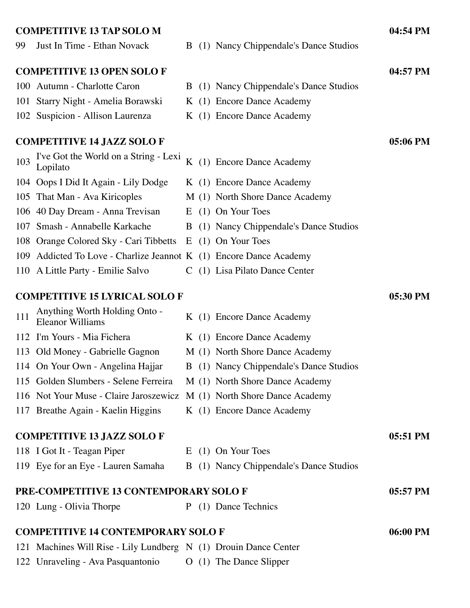### **COMPETITIVE 13 TAP SOLO M 04:54 PM**

### 99 Just In Time - Ethan Novack B (1) Nancy Chippendale's Dance Studios **COMPETITIVE 13 OPEN SOLO F 04:57 PM** 100 Autumn - Charlotte Caron B (1) Nancy Chippendale's Dance Studios 101 Starry Night - Amelia Borawski K (1) Encore Dance Academy 102 Suspicion - Allison Laurenza K (1) Encore Dance Academy **COMPETITIVE 14 JAZZ SOLO F 05:06 PM** 103 I've Got the World on a String - Lexi<br>Lopilato K (1) Encore Dance Academy 104 Oops I Did It Again - Lily Dodge K (1) Encore Dance Academy 105 That Man - Ava Kiricoples M (1) North Shore Dance Academy 106 40 Day Dream - Anna Trevisan E (1) On Your Toes 107 Smash - Annabelle Karkache B (1) Nancy Chippendale's Dance Studios 108 Orange Colored Sky - Cari Tibbetts E (1) On Your Toes 109 Addicted To Love - Charlize Jeannot K (1) Encore Dance Academy 110 A Little Party - Emilie Salvo C (1) Lisa Pilato Dance Center **COMPETITIVE 15 LYRICAL SOLO F 05:30 PM**

| 111                                       | Anything Worth Holding Onto -<br>Eleanor Williams                |  |  | K (1) Encore Dance Academy              |          |
|-------------------------------------------|------------------------------------------------------------------|--|--|-----------------------------------------|----------|
|                                           | 112 I'm Yours - Mia Fichera                                      |  |  | K (1) Encore Dance Academy              |          |
|                                           | 113 Old Money - Gabrielle Gagnon                                 |  |  | M (1) North Shore Dance Academy         |          |
|                                           | 114 On Your Own - Angelina Hajjar                                |  |  | B (1) Nancy Chippendale's Dance Studios |          |
|                                           | 115 Golden Slumbers - Selene Ferreira                            |  |  | M (1) North Shore Dance Academy         |          |
|                                           | 116 Not Your Muse - Claire Jaroszewicz                           |  |  | M (1) North Shore Dance Academy         |          |
|                                           | 117 Breathe Again - Kaelin Higgins                               |  |  | K (1) Encore Dance Academy              |          |
|                                           | <b>COMPETITIVE 13 JAZZ SOLO F</b>                                |  |  |                                         | 05:51 PM |
|                                           | 118 I Got It - Teagan Piper                                      |  |  | $E(1)$ On Your Toes                     |          |
|                                           | 119 Eye for an Eye - Lauren Samaha                               |  |  | B (1) Nancy Chippendale's Dance Studios |          |
|                                           | <b>PRE-COMPETITIVE 13 CONTEMPORARY SOLO F</b>                    |  |  |                                         | 05:57 PM |
|                                           | 120 Lung - Olivia Thorpe                                         |  |  | P (1) Dance Technics                    |          |
| <b>COMPETITIVE 14 CONTEMPORARY SOLO F</b> |                                                                  |  |  |                                         | 06:00 PM |
|                                           | 121 Machines Will Rise - Lily Lundberg N (1) Drouin Dance Center |  |  |                                         |          |

122 Unraveling - Ava Pasquantonio  $\qquad 0 \quad (1)$  The Dance Slipper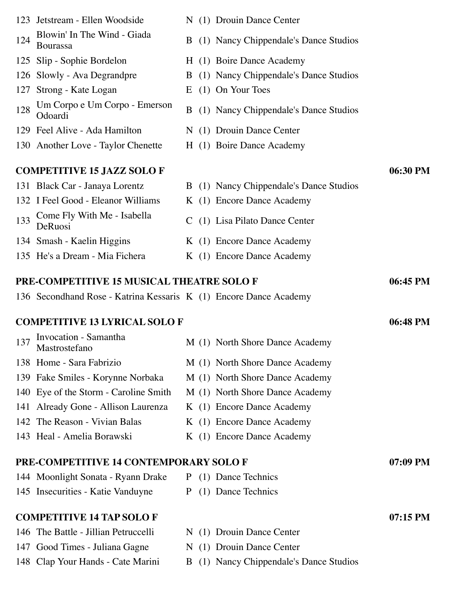|     | 123 Jetstream - Ellen Woodside                 |   | N (1) Drouin Dance Center               |          |
|-----|------------------------------------------------|---|-----------------------------------------|----------|
| 124 | Blowin' In The Wind - Giada<br><b>Bourassa</b> |   | B (1) Nancy Chippendale's Dance Studios |          |
|     | 125 Slip - Sophie Bordelon                     |   | H (1) Boire Dance Academy               |          |
|     | 126 Slowly - Ava Degrandpre                    |   | B (1) Nancy Chippendale's Dance Studios |          |
|     | 127 Strong - Kate Logan                        |   | $E(1)$ On Your Toes                     |          |
| 128 | Um Corpo e Um Corpo - Emerson<br>Odoardi       | B | (1) Nancy Chippendale's Dance Studios   |          |
|     | 129 Feel Alive - Ada Hamilton                  |   | N (1) Drouin Dance Center               |          |
|     | 130 Another Love - Taylor Chenette             |   | H (1) Boire Dance Academy               |          |
|     |                                                |   |                                         |          |
|     | <b>COMPETITIVE 15 JAZZ SOLO F</b>              |   |                                         | 06:30 PM |
|     | 131 Black Car - Janaya Lorentz                 |   | B (1) Nancy Chippendale's Dance Studios |          |
|     | 132 I Feel Good - Eleanor Williams             |   | K (1) Encore Dance Academy              |          |
| 133 | Come Fly With Me - Isabella<br>DeRuosi         |   | C (1) Lisa Pilato Dance Center          |          |
|     | 134 Smash - Kaelin Higgins                     |   | K (1) Encore Dance Academy              |          |
|     | 135 He's a Dream - Mia Fichera                 |   | K (1) Encore Dance Academy              |          |
|     |                                                |   |                                         |          |

### **PRE-COMPETITIVE 15 MUSICAL THEATRE SOLO F 06:45 PM**

### **COMPETITIVE 13 LYRICAL SOLO F 06:48 PM**

| 137 | Invocation - Samantha<br>Mastrostefano        |    | M (1) North Shore Dance Academy |            |
|-----|-----------------------------------------------|----|---------------------------------|------------|
|     | 138 Home - Sara Fabrizio                      |    | M (1) North Shore Dance Academy |            |
|     | 139 Fake Smiles - Korynne Norbaka             |    | M (1) North Shore Dance Academy |            |
|     | 140 Eye of the Storm - Caroline Smith         |    | M (1) North Shore Dance Academy |            |
|     | 141 Already Gone - Allison Laurenza           |    | K (1) Encore Dance Academy      |            |
|     | 142 The Reason - Vivian Balas                 |    | K (1) Encore Dance Academy      |            |
|     | 143 Heal - Amelia Borawski                    |    | K (1) Encore Dance Academy      |            |
|     |                                               |    |                                 |            |
|     | <b>PRE-COMPETITIVE 14 CONTEMPORARY SOLO F</b> |    |                                 | $07:09$ PM |
|     | 144 Moonlight Sonata - Ryann Drake            | P. | (1) Dance Technics              |            |
|     | 145 Insecurities - Katie Vanduyne             |    | (1) Dance Technics              |            |

### **COMPETITIVE 14 TAP SOLO F 07:15 PM**

- 146 The Battle Jillian Petruccelli N (1) Drouin Dance Center
- 147 Good Times Juliana Gagne N (1) Drouin Dance Center
- 
- 148 Clap Your Hands Cate Marini B (1) Nancy Chippendale's Dance Studios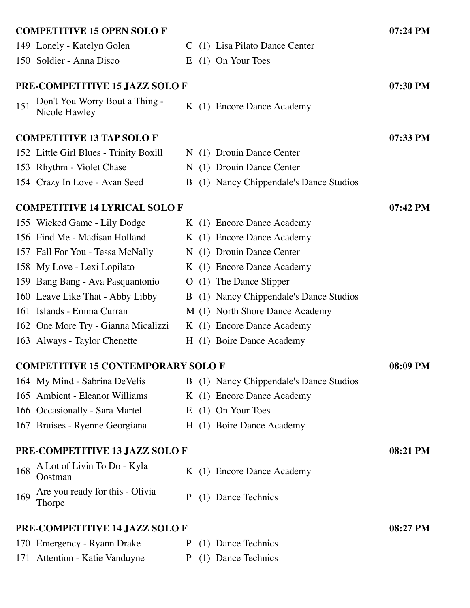| <b>COMPETITIVE 15 OPEN SOLO F</b>                      |                                             | $07:24 \text{ PM}$ |  |  |  |
|--------------------------------------------------------|---------------------------------------------|--------------------|--|--|--|
| 149 Lonely - Katelyn Golen                             | (1) Lisa Pilato Dance Center<br>$\mathbf C$ |                    |  |  |  |
| 150 Soldier - Anna Disco                               | $(1)$ On Your Toes<br>E                     |                    |  |  |  |
|                                                        |                                             |                    |  |  |  |
| <b>PRE-COMPETITIVE 15 JAZZ SOLO F</b>                  |                                             | 07:30 PM           |  |  |  |
| Don't You Worry Bout a Thing -<br>151<br>Nicole Hawley | K (1) Encore Dance Academy                  |                    |  |  |  |
| <b>COMPETITIVE 13 TAP SOLO F</b>                       |                                             | $07:33$ PM         |  |  |  |
| 152 Little Girl Blues - Trinity Boxill                 | N (1) Drouin Dance Center                   |                    |  |  |  |
| 153 Rhythm - Violet Chase                              | N (1) Drouin Dance Center                   |                    |  |  |  |
| 154 Crazy In Love - Avan Seed                          | (1) Nancy Chippendale's Dance Studios<br>B  |                    |  |  |  |
| <b>COMPETITIVE 14 LYRICAL SOLO F</b>                   |                                             | $07:42$ PM         |  |  |  |
| 155 Wicked Game - Lily Dodge                           | K (1) Encore Dance Academy                  |                    |  |  |  |
| 156 Find Me - Madisan Holland                          | K (1) Encore Dance Academy                  |                    |  |  |  |
| 157 Fall For You - Tessa McNally                       | N (1) Drouin Dance Center                   |                    |  |  |  |
| 158 My Love - Lexi Lopilato                            | K (1) Encore Dance Academy                  |                    |  |  |  |
| 159 Bang Bang - Ava Pasquantonio                       | O (1) The Dance Slipper                     |                    |  |  |  |
| 160 Leave Like That - Abby Libby                       | B (1) Nancy Chippendale's Dance Studios     |                    |  |  |  |
| 161 Islands - Emma Curran                              | M (1) North Shore Dance Academy             |                    |  |  |  |
| 162 One More Try - Gianna Micalizzi                    | K (1) Encore Dance Academy                  |                    |  |  |  |
| 163 Always - Taylor Chenette                           | H (1) Boire Dance Academy                   |                    |  |  |  |
| <b>COMPETITIVE 15 CONTEMPORARY SOLO F</b>              |                                             | 08:09 PM           |  |  |  |
| 164 My Mind - Sabrina DeVelis                          | B (1) Nancy Chippendale's Dance Studios     |                    |  |  |  |
| 165 Ambient - Eleanor Williams                         | K (1) Encore Dance Academy                  |                    |  |  |  |
| 166 Occasionally - Sara Martel                         | $E(1)$ On Your Toes                         |                    |  |  |  |
| 167 Bruises - Ryenne Georgiana                         | H (1) Boire Dance Academy                   |                    |  |  |  |
|                                                        |                                             |                    |  |  |  |
| PRE-COMPETITIVE 13 JAZZ SOLO F                         |                                             |                    |  |  |  |
| A Lot of Livin To Do - Kyla<br>168<br>Oostman          | K (1) Encore Dance Academy                  |                    |  |  |  |
| Are you ready for this - Olivia<br>169<br>Thorpe       | (1) Dance Technics<br>P                     |                    |  |  |  |
| <b>PRE-COMPETITIVE 14 JAZZ SOLO F</b>                  |                                             | 08:27 PM           |  |  |  |
| 170 Emergency - Ryann Drake                            | (1) Dance Technics<br>P                     |                    |  |  |  |

171 Attention - Katie Vanduyne P (1) Dance Technics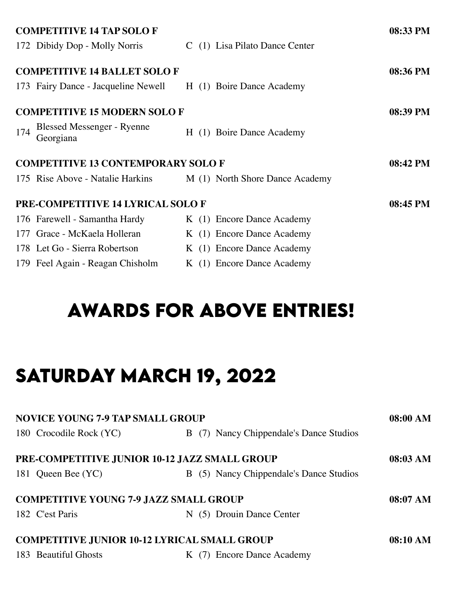|     | <b>COMPETITIVE 14 TAP SOLO F</b>               |                                 | 08:33 PM |
|-----|------------------------------------------------|---------------------------------|----------|
|     | 172 Dibidy Dop - Molly Norris                  | C (1) Lisa Pilato Dance Center  |          |
|     | <b>COMPETITIVE 14 BALLET SOLO F</b>            |                                 | 08:36 PM |
|     | 173 Fairy Dance - Jacqueline Newell            | H (1) Boire Dance Academy       |          |
|     | <b>COMPETITIVE 15 MODERN SOLO F</b>            |                                 | 08:39 PM |
| 174 | <b>Blessed Messenger - Ryenne</b><br>Georgiana | H (1) Boire Dance Academy       |          |
|     | <b>COMPETITIVE 13 CONTEMPORARY SOLO F</b>      |                                 | 08:42 PM |
|     | 175 Rise Above - Natalie Harkins               | M (1) North Shore Dance Academy |          |
|     | <b>PRE-COMPETITIVE 14 LYRICAL SOLO F</b>       |                                 | 08:45 PM |
|     | 176 Farewell - Samantha Hardy                  | K (1) Encore Dance Academy      |          |
|     | 177 Grace - McKaela Holleran                   | K (1) Encore Dance Academy      |          |
|     | 178 Let Go - Sierra Robertson                  | K (1) Encore Dance Academy      |          |
|     | 179 Feel Again - Reagan Chisholm               | K (1) Encore Dance Academy      |          |

## **awards for above entrIes!**

## **saturday march 19, 2022**

| <b>NOVICE YOUNG 7-9 TAP SMALL GROUP</b> | 08:00 AM                                      |                                                     |            |
|-----------------------------------------|-----------------------------------------------|-----------------------------------------------------|------------|
|                                         | 180 Crocodile Rock (YC)                       | B (7) Nancy Chippendale's Dance Studios             |            |
|                                         |                                               | PRE-COMPETITIVE JUNIOR 10-12 JAZZ SMALL GROUP       | 08:03 AM   |
| 181 Queen Bee (YC)                      |                                               | B (5) Nancy Chippendale's Dance Studios             |            |
|                                         | <b>COMPETITIVE YOUNG 7-9 JAZZ SMALL GROUP</b> |                                                     | $08:07$ AM |
| 182 C'est Paris                         |                                               | N (5) Drouin Dance Center                           |            |
|                                         |                                               | <b>COMPETITIVE JUNIOR 10-12 LYRICAL SMALL GROUP</b> | 08:10 AM   |
| 183 Beautiful Ghosts                    |                                               | K (7) Encore Dance Academy                          |            |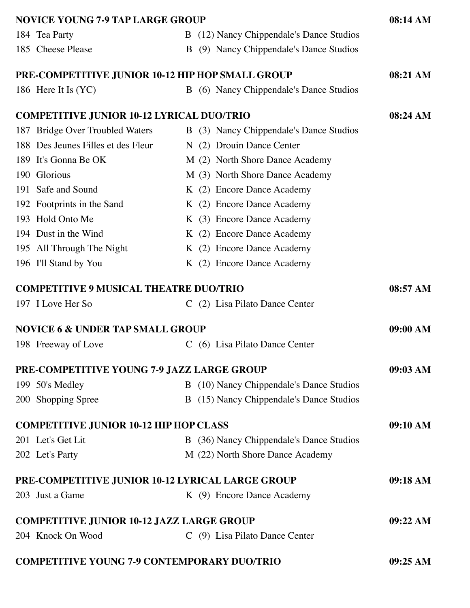| <b>NOVICE YOUNG 7-9 TAP LARGE GROUP</b>            |                                          | 08:14 AM |
|----------------------------------------------------|------------------------------------------|----------|
| 184 Tea Party                                      | B (12) Nancy Chippendale's Dance Studios |          |
| 185 Cheese Please                                  | B (9) Nancy Chippendale's Dance Studios  |          |
| PRE-COMPETITIVE JUNIOR 10-12 HIP HOP SMALL GROUP   |                                          | 08:21 AM |
| 186 Here It Is (YC)                                | B (6) Nancy Chippendale's Dance Studios  |          |
| <b>COMPETITIVE JUNIOR 10-12 LYRICAL DUO/TRIO</b>   |                                          | 08:24 AM |
| 187 Bridge Over Troubled Waters                    | B (3) Nancy Chippendale's Dance Studios  |          |
| 188 Des Jeunes Filles et des Fleur                 | N (2) Drouin Dance Center                |          |
| 189 It's Gonna Be OK                               | M (2) North Shore Dance Academy          |          |
| 190 Glorious                                       | M (3) North Shore Dance Academy          |          |
| 191 Safe and Sound                                 | K (2) Encore Dance Academy               |          |
| 192 Footprints in the Sand                         | K (2) Encore Dance Academy               |          |
| 193 Hold Onto Me                                   | K (3) Encore Dance Academy               |          |
| 194 Dust in the Wind                               | K (2) Encore Dance Academy               |          |
| 195 All Through The Night                          | K (2) Encore Dance Academy               |          |
| 196 I'll Stand by You                              | K (2) Encore Dance Academy               |          |
| <b>COMPETITIVE 9 MUSICAL THEATRE DUO/TRIO</b>      |                                          | 08:57 AM |
| 197 I Love Her So                                  | C (2) Lisa Pilato Dance Center           |          |
| <b>NOVICE 6 &amp; UNDER TAP SMALL GROUP</b>        |                                          | 09:00 AM |
| 198 Freeway of Love                                | (6) Lisa Pilato Dance Center             |          |
| PRE-COMPETITIVE YOUNG 7-9 JAZZ LARGE GROUP         |                                          | 09:03 AM |
| 199 50's Medley                                    | B (10) Nancy Chippendale's Dance Studios |          |
| 200 Shopping Spree                                 | B (15) Nancy Chippendale's Dance Studios |          |
| <b>COMPETITIVE JUNIOR 10-12 HIP HOP CLASS</b>      |                                          | 09:10 AM |
| 201 Let's Get Lit                                  | B (36) Nancy Chippendale's Dance Studios |          |
| 202 Let's Party                                    | M (22) North Shore Dance Academy         |          |
| PRE-COMPETITIVE JUNIOR 10-12 LYRICAL LARGE GROUP   |                                          | 09:18 AM |
| 203 Just a Game                                    | K (9) Encore Dance Academy               |          |
| <b>COMPETITIVE JUNIOR 10-12 JAZZ LARGE GROUP</b>   |                                          | 09:22 AM |
| 204 Knock On Wood                                  | C (9) Lisa Pilato Dance Center           |          |
| <b>COMPETITIVE YOUNG 7-9 CONTEMPORARY DUO/TRIO</b> |                                          | 09:25 AM |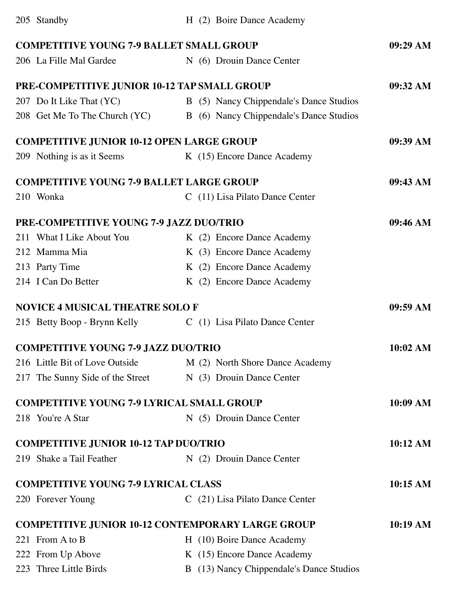| 205 Standby                                                 | H (2) Boire Dance Academy               |            |
|-------------------------------------------------------------|-----------------------------------------|------------|
| <b>COMPETITIVE YOUNG 7-9 BALLET SMALL GROUP</b>             |                                         | 09:29 AM   |
| 206 La Fille Mal Gardee                                     | N (6) Drouin Dance Center               |            |
| PRE-COMPETITIVE JUNIOR 10-12 TAP SMALL GROUP                |                                         | 09:32 AM   |
| 207 Do It Like That (YC)                                    | B (5) Nancy Chippendale's Dance Studios |            |
| 208 Get Me To The Church (YC)                               | B (6) Nancy Chippendale's Dance Studios |            |
| <b>COMPETITIVE JUNIOR 10-12 OPEN LARGE GROUP</b>            |                                         | 09:39 AM   |
| 209 Nothing is as it Seems                                  | K (15) Encore Dance Academy             |            |
| <b>COMPETITIVE YOUNG 7-9 BALLET LARGE GROUP</b>             |                                         | 09:43 AM   |
| 210 Wonka                                                   | C (11) Lisa Pilato Dance Center         |            |
| PRE-COMPETITIVE YOUNG 7-9 JAZZ DUO/TRIO                     |                                         | 09:46 AM   |
| 211 What I Like About You                                   | K (2) Encore Dance Academy              |            |
| 212 Mamma Mia                                               | K (3) Encore Dance Academy              |            |
| 213 Party Time                                              | K (2) Encore Dance Academy              |            |
| 214 I Can Do Better                                         | K (2) Encore Dance Academy              |            |
| <b>NOVICE 4 MUSICAL THEATRE SOLO F</b>                      |                                         | $09:59$ AM |
| 215 Betty Boop - Brynn Kelly C (1) Lisa Pilato Dance Center |                                         |            |
|                                                             |                                         |            |
| <b>COMPETITIVE YOUNG 7-9 JAZZ DUO/TRIO</b>                  |                                         | 10:02 AM   |
| 216 Little Bit of Love Outside                              | M (2) North Shore Dance Academy         |            |
| 217 The Sunny Side of the Street                            | N (3) Drouin Dance Center               |            |
| <b>COMPETITIVE YOUNG 7-9 LYRICAL SMALL GROUP</b>            |                                         | 10:09 AM   |
| 218 You're A Star                                           | N (5) Drouin Dance Center               |            |
| <b>COMPETITIVE JUNIOR 10-12 TAP DUO/TRIO</b>                |                                         | 10:12 AM   |
| 219 Shake a Tail Feather                                    | N (2) Drouin Dance Center               |            |
| <b>COMPETITIVE YOUNG 7-9 LYRICAL CLASS</b>                  |                                         | 10:15 AM   |
| 220 Forever Young                                           | C (21) Lisa Pilato Dance Center         |            |
| <b>COMPETITIVE JUNIOR 10-12 CONTEMPORARY LARGE GROUP</b>    |                                         | 10:19 AM   |
| 221 From A to B                                             | H (10) Boire Dance Academy              |            |
| 222 From Up Above                                           | K (15) Encore Dance Academy             |            |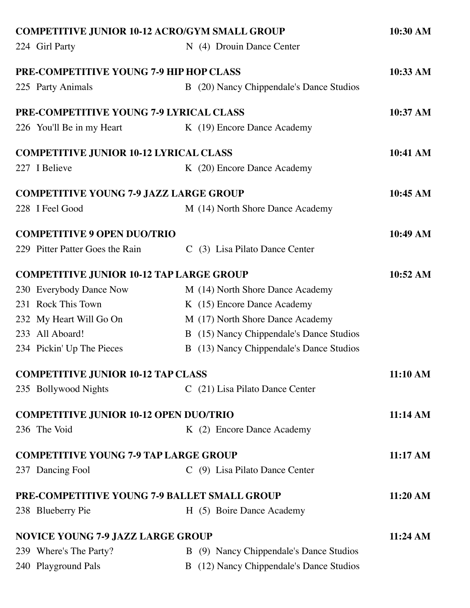| <b>COMPETITIVE JUNIOR 10-12 ACRO/GYM SMALL GROUP</b> |                                                 |                                          |          |  |  |
|------------------------------------------------------|-------------------------------------------------|------------------------------------------|----------|--|--|
|                                                      | 224 Girl Party                                  | N (4) Drouin Dance Center                |          |  |  |
|                                                      | PRE-COMPETITIVE YOUNG 7-9 HIP HOP CLASS         |                                          | 10:33 AM |  |  |
|                                                      | 225 Party Animals                               | B (20) Nancy Chippendale's Dance Studios |          |  |  |
|                                                      | PRE-COMPETITIVE YOUNG 7-9 LYRICAL CLASS         |                                          | 10:37 AM |  |  |
|                                                      | 226 You'll Be in my Heart                       | K (19) Encore Dance Academy              |          |  |  |
|                                                      | <b>COMPETITIVE JUNIOR 10-12 LYRICAL CLASS</b>   |                                          | 10:41 AM |  |  |
|                                                      | 227 I Believe                                   | K (20) Encore Dance Academy              |          |  |  |
|                                                      | <b>COMPETITIVE YOUNG 7-9 JAZZ LARGE GROUP</b>   |                                          | 10:45 AM |  |  |
|                                                      | 228 I Feel Good                                 | M (14) North Shore Dance Academy         |          |  |  |
|                                                      | <b>COMPETITIVE 9 OPEN DUO/TRIO</b>              |                                          | 10:49 AM |  |  |
|                                                      | 229 Pitter Patter Goes the Rain                 | C (3) Lisa Pilato Dance Center           |          |  |  |
|                                                      | <b>COMPETITIVE JUNIOR 10-12 TAP LARGE GROUP</b> |                                          | 10:52 AM |  |  |
|                                                      | 230 Everybody Dance Now                         | M (14) North Shore Dance Academy         |          |  |  |
|                                                      | 231 Rock This Town                              | K (15) Encore Dance Academy              |          |  |  |
|                                                      | 232 My Heart Will Go On                         | M (17) North Shore Dance Academy         |          |  |  |
|                                                      | 233 All Aboard!                                 | B (15) Nancy Chippendale's Dance Studios |          |  |  |
|                                                      | 234 Pickin' Up The Pieces                       | B (13) Nancy Chippendale's Dance Studios |          |  |  |
|                                                      | <b>COMPETITIVE JUNIOR 10-12 TAP CLASS</b>       |                                          | 11:10 AM |  |  |
|                                                      | 235 Bollywood Nights                            | C (21) Lisa Pilato Dance Center          |          |  |  |
|                                                      | <b>COMPETITIVE JUNIOR 10-12 OPEN DUO/TRIO</b>   |                                          | 11:14 AM |  |  |
|                                                      | 236 The Void                                    | K (2) Encore Dance Academy               |          |  |  |
|                                                      | <b>COMPETITIVE YOUNG 7-9 TAP LARGE GROUP</b>    |                                          | 11:17 AM |  |  |
|                                                      | 237 Dancing Fool                                | C (9) Lisa Pilato Dance Center           |          |  |  |
|                                                      | PRE-COMPETITIVE YOUNG 7-9 BALLET SMALL GROUP    |                                          | 11:20 AM |  |  |
|                                                      | 238 Blueberry Pie                               | H (5) Boire Dance Academy                |          |  |  |
|                                                      | <b>NOVICE YOUNG 7-9 JAZZ LARGE GROUP</b>        |                                          | 11:24 AM |  |  |
|                                                      | 239 Where's The Party?                          | B (9) Nancy Chippendale's Dance Studios  |          |  |  |
|                                                      | 240 Playground Pals                             | B (12) Nancy Chippendale's Dance Studios |          |  |  |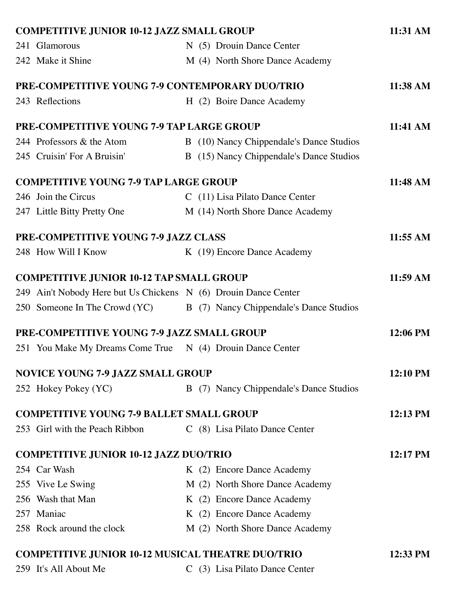| <b>COMPETITIVE JUNIOR 10-12 JAZZ SMALL GROUP</b>                |                                          | 11:31 AM |
|-----------------------------------------------------------------|------------------------------------------|----------|
| 241 Glamorous                                                   | N (5) Drouin Dance Center                |          |
| 242 Make it Shine                                               | M (4) North Shore Dance Academy          |          |
| <b>PRE-COMPETITIVE YOUNG 7-9 CONTEMPORARY DUO/TRIO</b>          |                                          | 11:38 AM |
| 243 Reflections                                                 | H (2) Boire Dance Academy                |          |
| PRE-COMPETITIVE YOUNG 7-9 TAP LARGE GROUP                       |                                          | 11:41 AM |
| 244 Professors & the Atom                                       | B (10) Nancy Chippendale's Dance Studios |          |
| 245 Cruisin' For A Bruisin'                                     | B (15) Nancy Chippendale's Dance Studios |          |
| <b>COMPETITIVE YOUNG 7-9 TAP LARGE GROUP</b>                    |                                          | 11:48 AM |
| 246 Join the Circus                                             | C (11) Lisa Pilato Dance Center          |          |
| 247 Little Bitty Pretty One                                     | M (14) North Shore Dance Academy         |          |
| PRE-COMPETITIVE YOUNG 7-9 JAZZ CLASS                            |                                          | 11:55 AM |
| 248 How Will I Know                                             | K (19) Encore Dance Academy              |          |
| <b>COMPETITIVE JUNIOR 10-12 TAP SMALL GROUP</b>                 |                                          | 11:59 AM |
| 249 Ain't Nobody Here but Us Chickens N (6) Drouin Dance Center |                                          |          |
| 250 Someone In The Crowd (YC)                                   | B (7) Nancy Chippendale's Dance Studios  |          |
| PRE-COMPETITIVE YOUNG 7-9 JAZZ SMALL GROUP                      |                                          | 12:06 PM |
| 251 You Make My Dreams Come True N (4) Drouin Dance Center      |                                          |          |
| <b>NOVICE YOUNG 7-9 JAZZ SMALL GROUP</b>                        |                                          | 12:10 PM |
| 252 Hokey Pokey (YC)                                            | B (7) Nancy Chippendale's Dance Studios  |          |
| <b>COMPETITIVE YOUNG 7-9 BALLET SMALL GROUP</b>                 |                                          | 12:13 PM |
| 253 Girl with the Peach Ribbon                                  | C (8) Lisa Pilato Dance Center           |          |
| <b>COMPETITIVE JUNIOR 10-12 JAZZ DUO/TRIO</b>                   |                                          | 12:17 PM |
| 254 Car Wash                                                    | K (2) Encore Dance Academy               |          |
| 255 Vive Le Swing                                               | M (2) North Shore Dance Academy          |          |
| 256 Wash that Man                                               | K (2) Encore Dance Academy               |          |
| 257 Maniac                                                      | K (2) Encore Dance Academy               |          |
| 258 Rock around the clock                                       | M (2) North Shore Dance Academy          |          |
| <b>COMPETITIVE JUNIOR 10-12 MUSICAL THEATRE DUO/TRIO</b>        |                                          | 12:33 PM |
| 259 It's All About Me                                           | C (3) Lisa Pilato Dance Center           |          |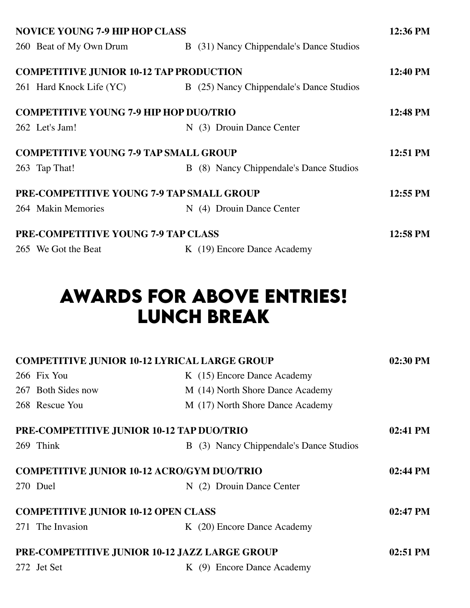| <b>NOVICE YOUNG 7-9 HIP HOP CLASS</b>            |                                          | 12:36 PM |
|--------------------------------------------------|------------------------------------------|----------|
| 260 Beat of My Own Drum                          | B (31) Nancy Chippendale's Dance Studios |          |
| <b>COMPETITIVE JUNIOR 10-12 TAP PRODUCTION</b>   |                                          | 12:40 PM |
| 261 Hard Knock Life (YC)                         | B (25) Nancy Chippendale's Dance Studios |          |
| <b>COMPETITIVE YOUNG 7-9 HIP HOP DUO/TRIO</b>    |                                          | 12:48 PM |
| 262 Let's Jam!                                   | N (3) Drouin Dance Center                |          |
| <b>COMPETITIVE YOUNG 7-9 TAP SMALL GROUP</b>     |                                          | 12:51 PM |
| 263 Tap That!                                    | B (8) Nancy Chippendale's Dance Studios  |          |
| <b>PRE-COMPETITIVE YOUNG 7-9 TAP SMALL GROUP</b> |                                          | 12:55 PM |
| 264 Makin Memories                               | N (4) Drouin Dance Center                |          |
| <b>PRE-COMPETITIVE YOUNG 7-9 TAP CLASS</b>       |                                          | 12:58 PM |
| 265 We Got the Beat                              | K (19) Encore Dance Academy              |          |

# **awards for above entrIes! lunch break**

| <b>COMPETITIVE JUNIOR 10-12 LYRICAL LARGE GROUP</b> |                                         | 02:30 PM   |
|-----------------------------------------------------|-----------------------------------------|------------|
| 266 Fix You                                         | K (15) Encore Dance Academy             |            |
| 267 Both Sides now                                  | M (14) North Shore Dance Academy        |            |
| 268 Rescue You                                      | M (17) North Shore Dance Academy        |            |
| PRE-COMPETITIVE JUNIOR 10-12 TAP DUO/TRIO           |                                         | $02:41$ PM |
| 269 Think                                           | B (3) Nancy Chippendale's Dance Studios |            |
| <b>COMPETITIVE JUNIOR 10-12 ACRO/GYM DUO/TRIO</b>   |                                         | 02:44 PM   |
| 270 Duel                                            | N (2) Drouin Dance Center               |            |
| <b>COMPETITIVE JUNIOR 10-12 OPEN CLASS</b>          |                                         | 02:47 PM   |
| 271 The Invasion                                    | K (20) Encore Dance Academy             |            |
| PRE-COMPETITIVE JUNIOR 10-12 JAZZ LARGE GROUP       |                                         | 02:51 PM   |
| 272 Jet Set                                         | K (9) Encore Dance Academy              |            |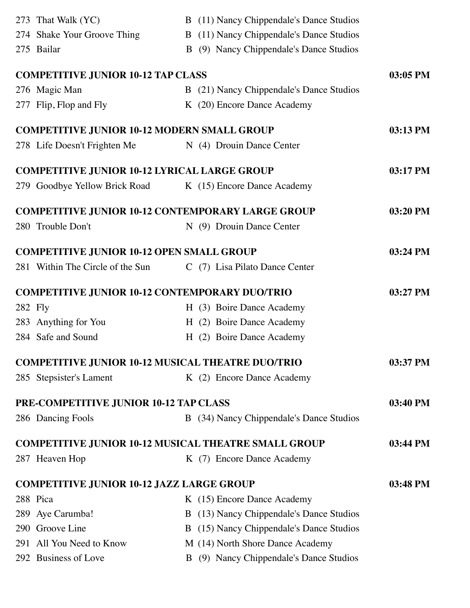|         | 273 That Walk (YC)                                       | B (11) Nancy Chippendale's Dance Studios                    |          |
|---------|----------------------------------------------------------|-------------------------------------------------------------|----------|
|         | 274 Shake Your Groove Thing                              | (11) Nancy Chippendale's Dance Studios<br>B                 |          |
|         | 275 Bailar                                               | (9) Nancy Chippendale's Dance Studios<br>B                  |          |
|         | <b>COMPETITIVE JUNIOR 10-12 TAP CLASS</b>                |                                                             | 03:05 PM |
|         | 276 Magic Man                                            | (21) Nancy Chippendale's Dance Studios<br>B                 |          |
|         | 277 Flip, Flop and Fly                                   | K (20) Encore Dance Academy                                 |          |
|         | <b>COMPETITIVE JUNIOR 10-12 MODERN SMALL GROUP</b>       |                                                             | 03:13 PM |
|         | 278 Life Doesn't Frighten Me                             | N (4) Drouin Dance Center                                   |          |
|         | <b>COMPETITIVE JUNIOR 10-12 LYRICAL LARGE GROUP</b>      |                                                             | 03:17 PM |
|         | 279 Goodbye Yellow Brick Road                            | K (15) Encore Dance Academy                                 |          |
|         |                                                          | <b>COMPETITIVE JUNIOR 10-12 CONTEMPORARY LARGE GROUP</b>    | 03:20 PM |
|         | 280 Trouble Don't                                        | N (9) Drouin Dance Center                                   |          |
|         | <b>COMPETITIVE JUNIOR 10-12 OPEN SMALL GROUP</b>         |                                                             | 03:24 PM |
|         | 281 Within The Circle of the Sun                         | C (7) Lisa Pilato Dance Center                              |          |
|         | <b>COMPETITIVE JUNIOR 10-12 CONTEMPORARY DUO/TRIO</b>    |                                                             | 03:27 PM |
| 282 Fly |                                                          | H (3) Boire Dance Academy                                   |          |
|         | 283 Anything for You                                     | H (2) Boire Dance Academy                                   |          |
|         | 284 Safe and Sound                                       | H (2) Boire Dance Academy                                   |          |
|         | <b>COMPETITIVE JUNIOR 10-12 MUSICAL THEATRE DUO/TRIO</b> |                                                             | 03:37 PM |
|         | 285 Stepsister's Lament                                  | K (2) Encore Dance Academy                                  |          |
|         | <b>PRE-COMPETITIVE JUNIOR 10-12 TAP CLASS</b>            |                                                             | 03:40 PM |
|         | 286 Dancing Fools                                        | B (34) Nancy Chippendale's Dance Studios                    |          |
|         |                                                          | <b>COMPETITIVE JUNIOR 10-12 MUSICAL THEATRE SMALL GROUP</b> | 03:44 PM |
|         | 287 Heaven Hop                                           | K (7) Encore Dance Academy                                  |          |
|         | <b>COMPETITIVE JUNIOR 10-12 JAZZ LARGE GROUP</b>         |                                                             | 03:48 PM |
|         | 288 Pica                                                 | K (15) Encore Dance Academy                                 |          |
|         | 289 Aye Carumba!                                         | (13) Nancy Chippendale's Dance Studios<br>B                 |          |
|         | 290 Groove Line                                          | B (15) Nancy Chippendale's Dance Studios                    |          |
|         | 291 All You Need to Know                                 | M (14) North Shore Dance Academy                            |          |
|         | 292 Business of Love                                     | B (9) Nancy Chippendale's Dance Studios                     |          |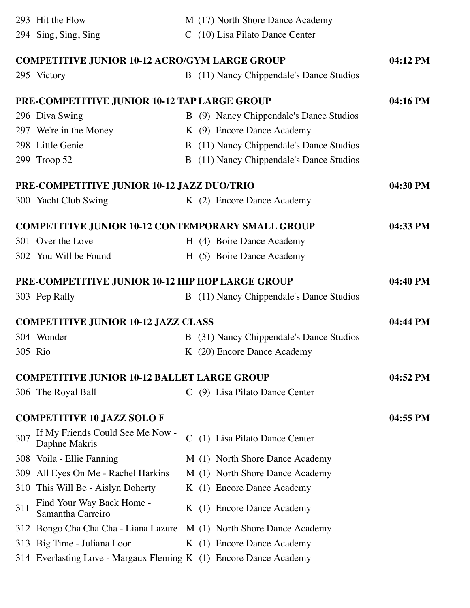|     | 293 Hit the Flow                                                     |   |  | M (17) North Shore Dance Academy         |          |
|-----|----------------------------------------------------------------------|---|--|------------------------------------------|----------|
|     | 294 Sing, Sing, Sing                                                 |   |  | C (10) Lisa Pilato Dance Center          |          |
|     | <b>COMPETITIVE JUNIOR 10-12 ACRO/GYM LARGE GROUP</b>                 |   |  |                                          | 04:12 PM |
|     | 295 Victory                                                          |   |  | B (11) Nancy Chippendale's Dance Studios |          |
|     | PRE-COMPETITIVE JUNIOR 10-12 TAP LARGE GROUP                         |   |  |                                          | 04:16 PM |
|     | 296 Diva Swing                                                       |   |  | B (9) Nancy Chippendale's Dance Studios  |          |
|     | 297 We're in the Money                                               |   |  | K (9) Encore Dance Academy               |          |
|     | 298 Little Genie                                                     |   |  | B (11) Nancy Chippendale's Dance Studios |          |
|     | 299 Troop 52                                                         | B |  | (11) Nancy Chippendale's Dance Studios   |          |
|     | PRE-COMPETITIVE JUNIOR 10-12 JAZZ DUO/TRIO                           |   |  |                                          | 04:30 PM |
|     | 300 Yacht Club Swing                                                 |   |  | K (2) Encore Dance Academy               |          |
|     | <b>COMPETITIVE JUNIOR 10-12 CONTEMPORARY SMALL GROUP</b>             |   |  |                                          | 04:33 PM |
|     | 301 Over the Love                                                    |   |  | H (4) Boire Dance Academy                |          |
|     | 302 You Will be Found                                                |   |  | H (5) Boire Dance Academy                |          |
|     | PRE-COMPETITIVE JUNIOR 10-12 HIP HOP LARGE GROUP                     |   |  |                                          | 04:40 PM |
|     | 303 Pep Rally                                                        |   |  | B (11) Nancy Chippendale's Dance Studios |          |
|     | <b>COMPETITIVE JUNIOR 10-12 JAZZ CLASS</b>                           |   |  |                                          | 04:44 PM |
|     | 304 Wonder                                                           |   |  | B (31) Nancy Chippendale's Dance Studios |          |
|     | 305 Rio                                                              |   |  | K (20) Encore Dance Academy              |          |
|     | <b>COMPETITIVE JUNIOR 10-12 BALLET LARGE GROUP</b>                   |   |  |                                          | 04:52 PM |
|     | 306 The Royal Ball                                                   |   |  | C (9) Lisa Pilato Dance Center           |          |
|     | <b>COMPETITIVE 10 JAZZ SOLOF</b>                                     |   |  |                                          | 04:55 PM |
| 307 | If My Friends Could See Me Now -<br>Daphne Makris                    |   |  | (1) Lisa Pilato Dance Center             |          |
|     | 308 Voila - Ellie Fanning                                            |   |  | M (1) North Shore Dance Academy          |          |
| 309 | All Eyes On Me - Rachel Harkins                                      |   |  | M (1) North Shore Dance Academy          |          |
|     | 310 This Will Be - Aislyn Doherty                                    |   |  | K (1) Encore Dance Academy               |          |
| 311 | Find Your Way Back Home -<br>Samantha Carreiro                       |   |  | K (1) Encore Dance Academy               |          |
|     | 312 Bongo Cha Cha Cha - Liana Lazure M (1) North Shore Dance Academy |   |  |                                          |          |
|     | 313 Big Time - Juliana Loor                                          |   |  | K (1) Encore Dance Academy               |          |
|     | 314 Everlasting Love - Margaux Fleming K (1) Encore Dance Academy    |   |  |                                          |          |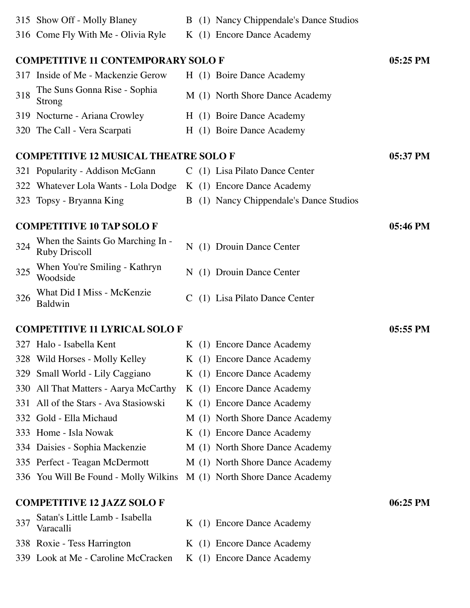315 Show Off - Molly Blaney B (1) Nancy Chippendale's Dance Studios 316 Come Fly With Me - Olivia Ryle  $K(1)$  Encore Dance Academy

|     | <b>COMPETITIVE 11 CONTEMPORARY SOLO F</b>                             |               |                                         | $05:25$ PM |
|-----|-----------------------------------------------------------------------|---------------|-----------------------------------------|------------|
|     | 317 Inside of Me - Mackenzie Gerow                                    |               | H (1) Boire Dance Academy               |            |
| 318 | The Suns Gonna Rise - Sophia<br>Strong                                |               | M (1) North Shore Dance Academy         |            |
|     | 319 Nocturne - Ariana Crowley                                         |               | H (1) Boire Dance Academy               |            |
|     | 320 The Call - Vera Scarpati                                          |               | H (1) Boire Dance Academy               |            |
|     | <b>COMPETITIVE 12 MUSICAL THEATRE SOLO F</b>                          |               |                                         | 05:37 PM   |
|     | 321 Popularity - Addison McGann                                       |               | C (1) Lisa Pilato Dance Center          |            |
|     | 322 Whatever Lola Wants - Lola Dodge K (1) Encore Dance Academy       |               |                                         |            |
|     | 323 Topsy - Bryanna King                                              |               | B (1) Nancy Chippendale's Dance Studios |            |
|     | <b>COMPETITIVE 10 TAP SOLOF</b>                                       |               |                                         | 05:46 PM   |
|     | When the Saints Go Marching In -                                      |               |                                         |            |
| 324 | <b>Ruby Driscoll</b>                                                  |               | N (1) Drouin Dance Center               |            |
| 325 | When You're Smiling - Kathryn<br>Woodside                             |               | N (1) Drouin Dance Center               |            |
| 326 | What Did I Miss - McKenzie<br><b>Baldwin</b>                          | $\mathcal{C}$ | (1) Lisa Pilato Dance Center            |            |
|     | <b>COMPETITIVE 11 LYRICAL SOLO F</b>                                  |               |                                         | 05:55 PM   |
|     | 327 Halo - Isabella Kent                                              |               | K (1) Encore Dance Academy              |            |
|     | 328 Wild Horses - Molly Kelley                                        |               | K (1) Encore Dance Academy              |            |
|     | 329 Small World - Lily Caggiano                                       |               | K (1) Encore Dance Academy              |            |
|     | 330 All That Matters - Aarya McCarthy                                 |               | K (1) Encore Dance Academy              |            |
|     | 331 All of the Stars - Ava Stasiowski                                 |               | K (1) Encore Dance Academy              |            |
|     | 332 Gold - Ella Michaud                                               |               | M (1) North Shore Dance Academy         |            |
|     | 333 Home - Isla Nowak                                                 |               | K (1) Encore Dance Academy              |            |
|     | 334 Daisies - Sophia Mackenzie                                        |               | M (1) North Shore Dance Academy         |            |
|     | 335 Perfect - Teagan McDermott                                        |               | M (1) North Shore Dance Academy         |            |
|     | 336 You Will Be Found - Molly Wilkins M (1) North Shore Dance Academy |               |                                         |            |
|     | <b>COMPETITIVE 12 JAZZ SOLOF</b>                                      |               |                                         | 06:25 PM   |
| 337 | Satan's Little Lamb - Isabella<br>Varacalli                           |               | K (1) Encore Dance Academy              |            |

- 338 Roxie Tess Harrington K (1) Encore Dance Academy
- 339 Look at Me Caroline McCracken K (1) Encore Dance Academy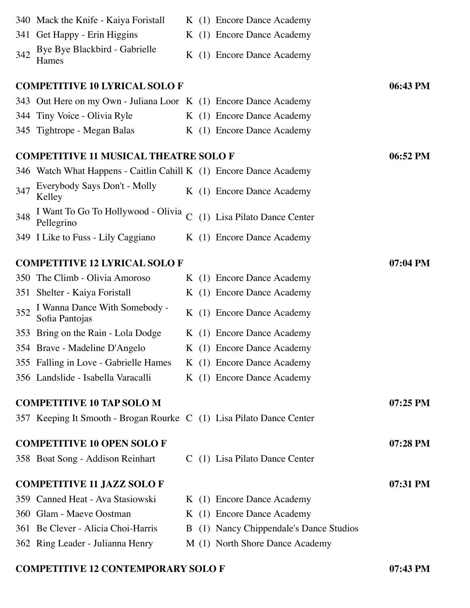|     | 340 Mack the Knife - Kaiya Foristall                                 |               | K (1) Encore Dance Academy              |            |
|-----|----------------------------------------------------------------------|---------------|-----------------------------------------|------------|
|     | 341 Get Happy - Erin Higgins                                         |               | K (1) Encore Dance Academy              |            |
| 342 | Bye Bye Blackbird - Gabrielle<br>Hames                               |               | K (1) Encore Dance Academy              |            |
|     | <b>COMPETITIVE 10 LYRICAL SOLO F</b>                                 |               |                                         | 06:43 PM   |
|     | 343 Out Here on my Own - Juliana Loor K (1) Encore Dance Academy     |               |                                         |            |
|     | 344 Tiny Voice - Olivia Ryle                                         |               | K (1) Encore Dance Academy              |            |
|     | 345 Tightrope - Megan Balas                                          |               | K (1) Encore Dance Academy              |            |
|     | <b>COMPETITIVE 11 MUSICAL THEATRE SOLO F</b>                         |               |                                         | 06:52 PM   |
|     | 346 Watch What Happens - Caitlin Cahill K (1) Encore Dance Academy   |               |                                         |            |
| 347 | Everybody Says Don't - Molly<br>Kelley                               |               | K (1) Encore Dance Academy              |            |
| 348 | I Want To Go To Hollywood - Olivia<br>Pellegrino                     | $\mathcal{C}$ | (1) Lisa Pilato Dance Center            |            |
|     | 349 I Like to Fuss - Lily Caggiano                                   |               | K (1) Encore Dance Academy              |            |
|     | <b>COMPETITIVE 12 LYRICAL SOLO F</b>                                 |               |                                         | $07:04$ PM |
|     | 350 The Climb - Olivia Amoroso                                       |               | K (1) Encore Dance Academy              |            |
|     | 351 Shelter - Kaiya Foristall                                        |               | K (1) Encore Dance Academy              |            |
| 352 | I Wanna Dance With Somebody -<br>Sofia Pantojas                      |               | K (1) Encore Dance Academy              |            |
|     | 353 Bring on the Rain - Lola Dodge                                   |               | K (1) Encore Dance Academy              |            |
|     | 354 Brave - Madeline D'Angelo                                        |               | K (1) Encore Dance Academy              |            |
|     | 355 Falling in Love - Gabrielle Hames K (1) Encore Dance Academy     |               |                                         |            |
|     | 356 Landslide - Isabella Varacalli                                   |               | K (1) Encore Dance Academy              |            |
|     | <b>COMPETITIVE 10 TAP SOLO M</b>                                     |               |                                         | 07:25 PM   |
|     | 357 Keeping It Smooth - Brogan Rourke C (1) Lisa Pilato Dance Center |               |                                         |            |
|     | <b>COMPETITIVE 10 OPEN SOLOF</b>                                     |               |                                         | 07:28 PM   |
|     | 358 Boat Song - Addison Reinhart                                     |               | C (1) Lisa Pilato Dance Center          |            |
|     | <b>COMPETITIVE 11 JAZZ SOLOF</b>                                     |               |                                         | 07:31 PM   |
|     | 359 Canned Heat - Ava Stasiowski                                     |               | K (1) Encore Dance Academy              |            |
|     | 360 Glam - Maeve Oostman                                             |               | K (1) Encore Dance Academy              |            |
|     | 361 Be Clever - Alicia Choi-Harris                                   |               | B (1) Nancy Chippendale's Dance Studios |            |
|     | 362 Ring Leader - Julianna Henry                                     |               | M (1) North Shore Dance Academy         |            |

### **COMPETITIVE 12 CONTEMPORARY SOLO F 07:43 PM**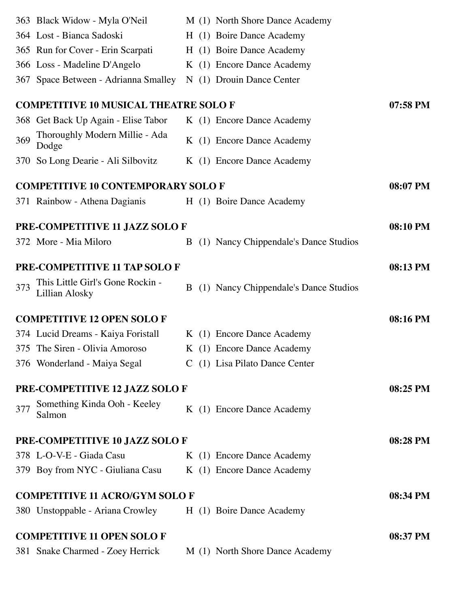|     | 363 Black Widow - Myla O'Neil                      |          | M (1) North Shore Dance Academy         |          |
|-----|----------------------------------------------------|----------|-----------------------------------------|----------|
|     | 364 Lost - Bianca Sadoski                          |          | H (1) Boire Dance Academy               |          |
|     | 365 Run for Cover - Erin Scarpati                  |          | H (1) Boire Dance Academy               |          |
|     | 366 Loss - Madeline D'Angelo                       |          | K (1) Encore Dance Academy              |          |
|     | 367 Space Between - Adrianna Smalley               |          | N (1) Drouin Dance Center               |          |
|     | <b>COMPETITIVE 10 MUSICAL THEATRE SOLO F</b>       |          |                                         | 07:58 PM |
|     | 368 Get Back Up Again - Elise Tabor                |          | K (1) Encore Dance Academy              |          |
| 369 | Thoroughly Modern Millie - Ada<br>Dodge            |          | K (1) Encore Dance Academy              |          |
|     | 370 So Long Dearie - Ali Silbovitz                 |          | K (1) Encore Dance Academy              |          |
|     | <b>COMPETITIVE 10 CONTEMPORARY SOLO F</b>          |          |                                         | 08:07 PM |
|     | 371 Rainbow - Athena Dagianis                      |          | H (1) Boire Dance Academy               |          |
|     | PRE-COMPETITIVE 11 JAZZ SOLO F                     |          |                                         | 08:10 PM |
|     | 372 More - Mia Miloro                              | $\bf{B}$ | (1) Nancy Chippendale's Dance Studios   |          |
|     | <b>PRE-COMPETITIVE 11 TAP SOLO F</b>               |          |                                         | 08:13 PM |
| 373 | This Little Girl's Gone Rockin -<br>Lillian Alosky |          | B (1) Nancy Chippendale's Dance Studios |          |
|     | <b>COMPETITIVE 12 OPEN SOLO F</b>                  |          |                                         | 08:16 PM |
|     | 374 Lucid Dreams - Kaiya Foristall                 |          | K (1) Encore Dance Academy              |          |
|     | 375 The Siren - Olivia Amoroso                     |          | K (1) Encore Dance Academy              |          |
|     | 376 Wonderland - Maiya Segal                       |          | C (1) Lisa Pilato Dance Center          |          |
|     | PRE-COMPETITIVE 12 JAZZ SOLO F                     |          |                                         | 08:25 PM |
| 377 | Something Kinda Ooh - Keeley<br>Salmon             |          | K (1) Encore Dance Academy              |          |
|     | PRE-COMPETITIVE 10 JAZZ SOLO F                     |          |                                         | 08:28 PM |
|     | 378 L-O-V-E - Giada Casu                           |          | K (1) Encore Dance Academy              |          |
|     | 379 Boy from NYC - Giuliana Casu                   |          | K (1) Encore Dance Academy              |          |
|     | <b>COMPETITIVE 11 ACRO/GYM SOLO F</b>              |          |                                         | 08:34 PM |
|     | 380 Unstoppable - Ariana Crowley                   |          | H (1) Boire Dance Academy               |          |
|     | <b>COMPETITIVE 11 OPEN SOLO F</b>                  |          |                                         | 08:37 PM |
|     | 381 Snake Charmed - Zoey Herrick                   |          | M (1) North Shore Dance Academy         |          |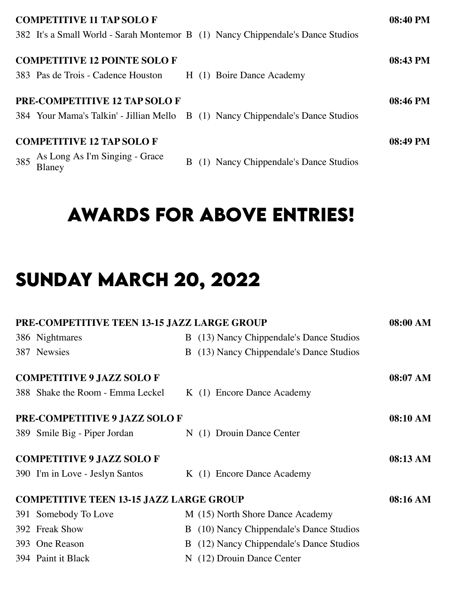|     | <b>COMPETITIVE 11 TAP SOLO F</b><br>382 It's a Small World - Sarah Montemor B (1) Nancy Chippendale's Dance Studios |   |                                   | 08:40 PM |
|-----|---------------------------------------------------------------------------------------------------------------------|---|-----------------------------------|----------|
|     | <b>COMPETITIVE 12 POINTE SOLOF</b><br>383 Pas de Trois - Cadence Houston                                            |   | H (1) Boire Dance Academy         | 08:43 PM |
|     | <b>PRE-COMPETITIVE 12 TAP SOLOF</b>                                                                                 |   |                                   | 08:46 PM |
|     | 384 Your Mama's Talkin' - Jillian Mello B (1) Nancy Chippendale's Dance Studios<br><b>COMPETITIVE 12 TAP SOLO F</b> |   |                                   | 08:49 PM |
| 385 | As Long As I'm Singing - Grace<br>Blaney                                                                            | B | Nancy Chippendale's Dance Studios |          |

### **AWARDS FOR ABOVE ENTRIES!**

## **sunday march 20, 2022**

| <b>PRE-COMPETITIVE TEEN 13-15 JAZZ LARGE GROUP</b> |                                              | 08:00 AM |
|----------------------------------------------------|----------------------------------------------|----------|
| 386 Nightmares                                     | B (13) Nancy Chippendale's Dance Studios     |          |
| 387 Newsies                                        | (13) Nancy Chippendale's Dance Studios<br>B  |          |
| <b>COMPETITIVE 9 JAZZ SOLO F</b>                   |                                              | 08:07 AM |
| 388 Shake the Room - Emma Leckel                   | K (1) Encore Dance Academy                   |          |
| PRE-COMPETITIVE 9 JAZZ SOLO F                      |                                              | 08:10 AM |
| 389 Smile Big - Piper Jordan                       | N (1) Drouin Dance Center                    |          |
| <b>COMPETITIVE 9 JAZZ SOLO F</b>                   |                                              | 08:13 AM |
| 390 I'm in Love - Jeslyn Santos                    | K (1) Encore Dance Academy                   |          |
| <b>COMPETITIVE TEEN 13-15 JAZZ LARGE GROUP</b>     |                                              | 08:16 AM |
| 391 Somebody To Love                               | M (15) North Shore Dance Academy             |          |
| 392 Freak Show                                     | (10) Nancy Chippendale's Dance Studios<br>B. |          |
| 393 One Reason                                     | B (12) Nancy Chippendale's Dance Studios     |          |
| 394 Paint it Black                                 | N (12) Drouin Dance Center                   |          |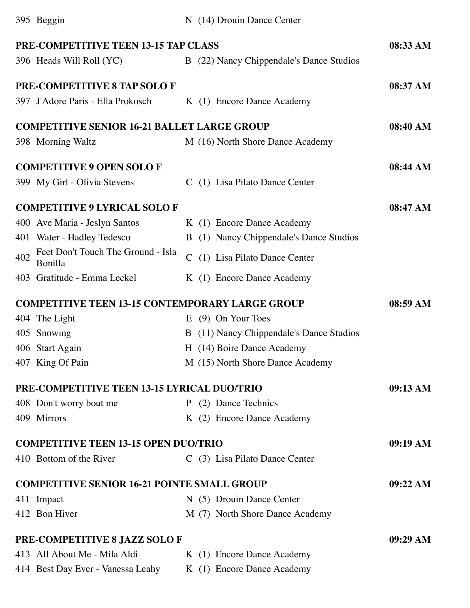|     | 395 Beggin                                             |   |  |  | N (14) Drouin Dance Center               |          |
|-----|--------------------------------------------------------|---|--|--|------------------------------------------|----------|
|     | PRE-COMPETITIVE TEEN 13-15 TAP CLASS                   |   |  |  |                                          | 08:33 AM |
|     | 396 Heads Will Roll (YC)                               |   |  |  | B (22) Nancy Chippendale's Dance Studios |          |
|     | <b>PRE-COMPETITIVE 8 TAP SOLO F</b>                    |   |  |  |                                          | 08:37 AM |
|     | 397 J'Adore Paris - Ella Prokosch                      |   |  |  | K (1) Encore Dance Academy               |          |
|     | <b>COMPETITIVE SENIOR 16-21 BALLET LARGE GROUP</b>     |   |  |  |                                          | 08:40 AM |
|     | 398 Morning Waltz                                      |   |  |  | M (16) North Shore Dance Academy         |          |
|     | <b>COMPETITIVE 9 OPEN SOLO F</b>                       |   |  |  |                                          | 08:44 AM |
|     | 399 My Girl - Olivia Stevens                           |   |  |  | C (1) Lisa Pilato Dance Center           |          |
|     | <b>COMPETITIVE 9 LYRICAL SOLO F</b>                    |   |  |  |                                          | 08:47 AM |
|     | 400 Ave Maria - Jeslyn Santos                          |   |  |  | K (1) Encore Dance Academy               |          |
|     | 401 Water - Hadley Tedesco                             |   |  |  | B (1) Nancy Chippendale's Dance Studios  |          |
| 402 | Feet Don't Touch The Ground - Isla<br>Bonilla          |   |  |  | C (1) Lisa Pilato Dance Center           |          |
|     | 403 Gratitude - Emma Leckel                            |   |  |  | K (1) Encore Dance Academy               |          |
|     | <b>COMPETITIVE TEEN 13-15 CONTEMPORARY LARGE GROUP</b> |   |  |  |                                          | 08:59 AM |
|     | 404 The Light                                          |   |  |  | $E(9)$ On Your Toes                      |          |
|     | 405 Snowing                                            | B |  |  | (11) Nancy Chippendale's Dance Studios   |          |
|     | 406 Start Again                                        |   |  |  | H (14) Boire Dance Academy               |          |
|     | 407 King Of Pain                                       |   |  |  | M (15) North Shore Dance Academy         |          |
|     | PRE-COMPETITIVE TEEN 13-15 LYRICAL DUO/TRIO            |   |  |  |                                          | 09:13 AM |
|     | 408 Don't worry bout me                                |   |  |  | P (2) Dance Technics                     |          |
|     | 409 Mirrors                                            |   |  |  | K (2) Encore Dance Academy               |          |
|     | <b>COMPETITIVE TEEN 13-15 OPEN DUO/TRIO</b>            |   |  |  |                                          | 09:19 AM |
|     | 410 Bottom of the River                                |   |  |  | C (3) Lisa Pilato Dance Center           |          |
|     | <b>COMPETITIVE SENIOR 16-21 POINTE SMALL GROUP</b>     |   |  |  |                                          | 09:22 AM |
|     | 411 Impact                                             |   |  |  | N (5) Drouin Dance Center                |          |
|     | 412 Bon Hiver                                          |   |  |  | M (7) North Shore Dance Academy          |          |
|     | <b>PRE-COMPETITIVE 8 JAZZ SOLO F</b>                   |   |  |  |                                          | 09:29 AM |
|     | 413 All About Me - Mila Aldi                           |   |  |  | K (1) Encore Dance Academy               |          |
|     | 414 Best Day Ever - Vanessa Leahy                      |   |  |  | K (1) Encore Dance Academy               |          |
|     |                                                        |   |  |  |                                          |          |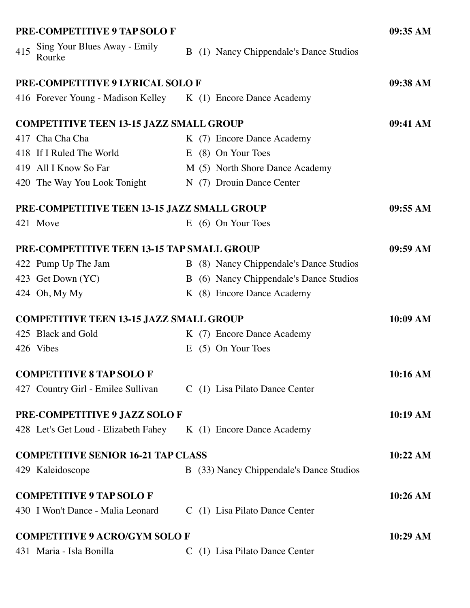|     | <b>PRE-COMPETITIVE 9 TAP SOLO F</b>                             |   |                                          | 09:35 AM   |
|-----|-----------------------------------------------------------------|---|------------------------------------------|------------|
| 415 | Sing Your Blues Away - Emily<br>Rourke                          |   | B (1) Nancy Chippendale's Dance Studios  |            |
|     | PRE-COMPETITIVE 9 LYRICAL SOLO F                                |   |                                          | 09:38 AM   |
|     | 416 Forever Young - Madison Kelley K (1) Encore Dance Academy   |   |                                          |            |
|     | <b>COMPETITIVE TEEN 13-15 JAZZ SMALL GROUP</b>                  |   |                                          | 09:41 AM   |
|     | 417 Cha Cha Cha                                                 |   | K (7) Encore Dance Academy               |            |
|     | 418 If I Ruled The World                                        |   | $E(8)$ On Your Toes                      |            |
|     | 419 All I Know So Far                                           |   | M (5) North Shore Dance Academy          |            |
|     | 420 The Way You Look Tonight                                    |   | N (7) Drouin Dance Center                |            |
|     | PRE-COMPETITIVE TEEN 13-15 JAZZ SMALL GROUP                     |   |                                          | $09:55$ AM |
|     | 421 Move                                                        |   | $E(6)$ On Your Toes                      |            |
|     | PRE-COMPETITIVE TEEN 13-15 TAP SMALL GROUP                      |   |                                          | $09:59$ AM |
|     | 422 Pump Up The Jam                                             | B | (8) Nancy Chippendale's Dance Studios    |            |
|     | 423 Get Down (YC)                                               |   | B (6) Nancy Chippendale's Dance Studios  |            |
|     | 424 Oh, My My                                                   |   | K (8) Encore Dance Academy               |            |
|     | <b>COMPETITIVE TEEN 13-15 JAZZ SMALL GROUP</b>                  |   |                                          | 10:09 AM   |
|     | 425 Black and Gold                                              |   | K (7) Encore Dance Academy               |            |
|     | 426 Vibes                                                       | E | (5) On Your Toes                         |            |
|     | <b>COMPETITIVE 8 TAP SOLO F</b>                                 |   |                                          | 10:16 AM   |
|     | 427 Country Girl - Emilee Sullivan                              |   | C (1) Lisa Pilato Dance Center           |            |
|     | PRE-COMPETITIVE 9 JAZZ SOLO F                                   |   |                                          | 10:19 AM   |
|     | 428 Let's Get Loud - Elizabeth Fahey K (1) Encore Dance Academy |   |                                          |            |
|     | <b>COMPETITIVE SENIOR 16-21 TAP CLASS</b>                       |   |                                          | 10:22 AM   |
|     | 429 Kaleidoscope                                                |   | B (33) Nancy Chippendale's Dance Studios |            |
|     | <b>COMPETITIVE 9 TAP SOLO F</b>                                 |   |                                          | 10:26 AM   |
|     | 430 I Won't Dance - Malia Leonard                               |   | C (1) Lisa Pilato Dance Center           |            |
|     | <b>COMPETITIVE 9 ACRO/GYM SOLO F</b>                            |   |                                          | 10:29 AM   |
|     | 431 Maria - Isla Bonilla                                        |   | C (1) Lisa Pilato Dance Center           |            |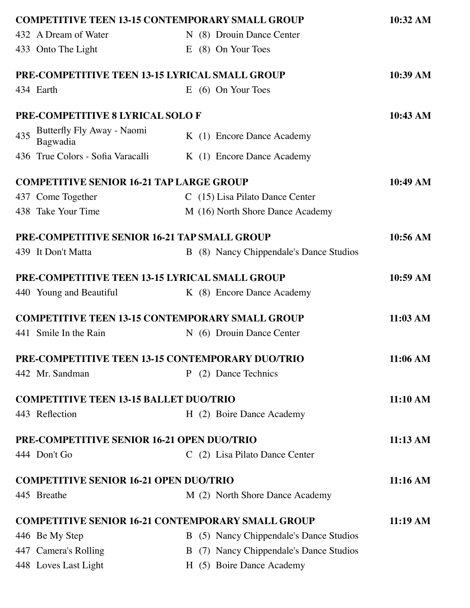| <b>COMPETITIVE TEEN 13-15 CONTEMPORARY SMALL GROUP</b> |                                                          | 10:32 AM |
|--------------------------------------------------------|----------------------------------------------------------|----------|
| 432 A Dream of Water                                   | N (8) Drouin Dance Center                                |          |
| 433 Onto The Light                                     | $E(8)$ On Your Toes                                      |          |
| PRE-COMPETITIVE TEEN 13-15 LYRICAL SMALL GROUP         |                                                          | 10:39 AM |
| 434 Earth                                              | $E(6)$ On Your Toes                                      |          |
| PRE-COMPETITIVE 8 LYRICAL SOLO F                       |                                                          | 10:43 AM |
| Butterfly Fly Away - Naomi<br>435<br>Bagwadia          | K (1) Encore Dance Academy                               |          |
| 436 True Colors - Sofia Varacalli                      | K (1) Encore Dance Academy                               |          |
| <b>COMPETITIVE SENIOR 16-21 TAP LARGE GROUP</b>        |                                                          | 10:49 AM |
| 437 Come Together                                      | C (15) Lisa Pilato Dance Center                          |          |
| 438 Take Your Time                                     | M (16) North Shore Dance Academy                         |          |
| PRE-COMPETITIVE SENIOR 16-21 TAP SMALL GROUP           |                                                          | 10:56 AM |
| 439 It Don't Matta                                     | B (8) Nancy Chippendale's Dance Studios                  |          |
| PRE-COMPETITIVE TEEN 13-15 LYRICAL SMALL GROUP         |                                                          | 10:59 AM |
| 440 Young and Beautiful                                | K (8) Encore Dance Academy                               |          |
| <b>COMPETITIVE TEEN 13-15 CONTEMPORARY SMALL GROUP</b> |                                                          | 11:03 AM |
| 441 Smile In the Rain                                  | N (6) Drouin Dance Center                                |          |
| PRE-COMPETITIVE TEEN 13-15 CONTEMPORARY DUO/TRIO       |                                                          | 11:06 AM |
| 442 Mr. Sandman                                        | P (2) Dance Technics                                     |          |
| <b>COMPETITIVE TEEN 13-15 BALLET DUO/TRIO</b>          |                                                          | 11:10 AM |
| 443 Reflection                                         | H (2) Boire Dance Academy                                |          |
| PRE-COMPETITIVE SENIOR 16-21 OPEN DUO/TRIO             |                                                          | 11:13 AM |
| 444 Don't Go                                           | C (2) Lisa Pilato Dance Center                           |          |
| <b>COMPETITIVE SENIOR 16-21 OPEN DUO/TRIO</b>          |                                                          | 11:16 AM |
| 445 Breathe                                            | M (2) North Shore Dance Academy                          |          |
|                                                        | <b>COMPETITIVE SENIOR 16-21 CONTEMPORARY SMALL GROUP</b> | 11:19 AM |
| 446 Be My Step                                         | B (5) Nancy Chippendale's Dance Studios                  |          |
| 447 Camera's Rolling                                   | B (7) Nancy Chippendale's Dance Studios                  |          |
| 448 Loves Last Light                                   | H (5) Boire Dance Academy                                |          |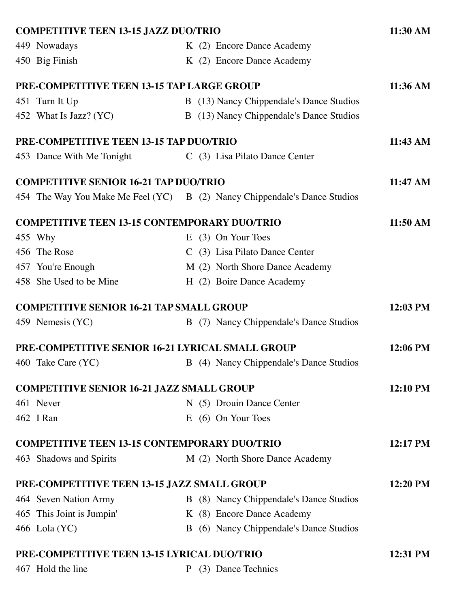| <b>COMPETITIVE TEEN 13-15 JAZZ DUO/TRIO</b>         |                                                                           | 11:30 AM |
|-----------------------------------------------------|---------------------------------------------------------------------------|----------|
| 449 Nowadays                                        | K (2) Encore Dance Academy                                                |          |
| 450 Big Finish                                      | K (2) Encore Dance Academy                                                |          |
| PRE-COMPETITIVE TEEN 13-15 TAP LARGE GROUP          |                                                                           | 11:36 AM |
| 451 Turn It Up                                      | B (13) Nancy Chippendale's Dance Studios                                  |          |
| 452 What Is Jazz? (YC)                              | B (13) Nancy Chippendale's Dance Studios                                  |          |
| PRE-COMPETITIVE TEEN 13-15 TAP DUO/TRIO             |                                                                           | 11:43 AM |
| 453 Dance With Me Tonight                           | C (3) Lisa Pilato Dance Center                                            |          |
| <b>COMPETITIVE SENIOR 16-21 TAP DUO/TRIO</b>        |                                                                           | 11:47 AM |
|                                                     | 454 The Way You Make Me Feel (YC) B (2) Nancy Chippendale's Dance Studios |          |
| <b>COMPETITIVE TEEN 13-15 CONTEMPORARY DUO/TRIO</b> |                                                                           | 11:50 AM |
| 455 Why                                             | $E(3)$ On Your Toes                                                       |          |
| 456 The Rose                                        | C (3) Lisa Pilato Dance Center                                            |          |
| 457 You're Enough                                   | M (2) North Shore Dance Academy                                           |          |
| 458 She Used to be Mine                             | H (2) Boire Dance Academy                                                 |          |
| <b>COMPETITIVE SENIOR 16-21 TAP SMALL GROUP</b>     |                                                                           | 12:03 PM |
| 459 Nemesis (YC)                                    | B (7) Nancy Chippendale's Dance Studios                                   |          |
| PRE-COMPETITIVE SENIOR 16-21 LYRICAL SMALL GROUP    |                                                                           | 12:06 PM |
| 460 Take Care (YC)                                  | B (4) Nancy Chippendale's Dance Studios                                   |          |
| <b>COMPETITIVE SENIOR 16-21 JAZZ SMALL GROUP</b>    |                                                                           | 12:10 PM |
| 461 Never                                           | N (5) Drouin Dance Center                                                 |          |
| 462 I Ran                                           | $E(6)$ On Your Toes                                                       |          |
| <b>COMPETITIVE TEEN 13-15 CONTEMPORARY DUO/TRIO</b> |                                                                           | 12:17 PM |
| 463 Shadows and Spirits                             | M (2) North Shore Dance Academy                                           |          |
| <b>PRE-COMPETITIVE TEEN 13-15 JAZZ SMALL GROUP</b>  |                                                                           | 12:20 PM |
| 464 Seven Nation Army                               | B (8) Nancy Chippendale's Dance Studios                                   |          |
| 465 This Joint is Jumpin'                           | K (8) Encore Dance Academy                                                |          |
| 466 Lola (YC)                                       | B (6) Nancy Chippendale's Dance Studios                                   |          |
| <b>PRE-COMPETITIVE TEEN 13-15 LYRICAL DUO/TRIO</b>  |                                                                           | 12:31 PM |
| 467 Hold the line                                   | P (3) Dance Technics                                                      |          |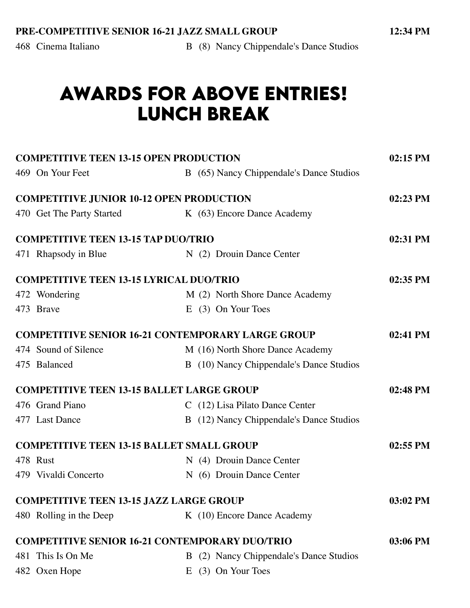# **awards for above entrIes! lunch break**

| <b>COMPETITIVE TEEN 13-15 OPEN PRODUCTION</b>  |                                                          |          |                                          |            |  |  |
|------------------------------------------------|----------------------------------------------------------|----------|------------------------------------------|------------|--|--|
|                                                | 469 On Your Feet                                         |          | B (65) Nancy Chippendale's Dance Studios |            |  |  |
|                                                | <b>COMPETITIVE JUNIOR 10-12 OPEN PRODUCTION</b>          |          |                                          | 02:23 PM   |  |  |
|                                                | 470 Get The Party Started                                |          | K (63) Encore Dance Academy              |            |  |  |
|                                                | <b>COMPETITIVE TEEN 13-15 TAP DUO/TRIO</b>               |          |                                          | 02:31 PM   |  |  |
|                                                | 471 Rhapsody in Blue                                     |          | N (2) Drouin Dance Center                |            |  |  |
|                                                | <b>COMPETITIVE TEEN 13-15 LYRICAL DUO/TRIO</b>           |          |                                          | 02:35 PM   |  |  |
|                                                | 472 Wondering                                            |          | M (2) North Shore Dance Academy          |            |  |  |
| 473 Brave                                      |                                                          |          | $E(3)$ On Your Toes                      |            |  |  |
|                                                | <b>COMPETITIVE SENIOR 16-21 CONTEMPORARY LARGE GROUP</b> |          |                                          | 02:41 PM   |  |  |
|                                                | 474 Sound of Silence                                     |          | M (16) North Shore Dance Academy         |            |  |  |
| 475 Balanced                                   |                                                          | B        | (10) Nancy Chippendale's Dance Studios   |            |  |  |
|                                                | <b>COMPETITIVE TEEN 13-15 BALLET LARGE GROUP</b>         |          |                                          | 02:48 PM   |  |  |
|                                                | 476 Grand Piano                                          |          | C (12) Lisa Pilato Dance Center          |            |  |  |
|                                                | 477 Last Dance                                           | B        | (12) Nancy Chippendale's Dance Studios   |            |  |  |
|                                                | <b>COMPETITIVE TEEN 13-15 BALLET SMALL GROUP</b>         |          |                                          | $02:55$ PM |  |  |
| 478 Rust                                       |                                                          |          | N (4) Drouin Dance Center                |            |  |  |
|                                                | 479 Vivaldi Concerto                                     | N        | (6) Drouin Dance Center                  |            |  |  |
| <b>COMPETITIVE TEEN 13-15 JAZZ LARGE GROUP</b> |                                                          |          |                                          |            |  |  |
|                                                | 480 Rolling in the Deep                                  |          | K (10) Encore Dance Academy              |            |  |  |
|                                                | <b>COMPETITIVE SENIOR 16-21 CONTEMPORARY DUO/TRIO</b>    | 03:06 PM |                                          |            |  |  |
|                                                | 481 This Is On Me                                        | B.       | (2) Nancy Chippendale's Dance Studios    |            |  |  |
|                                                | 482 Oxen Hope                                            |          | $E(3)$ On Your Toes                      |            |  |  |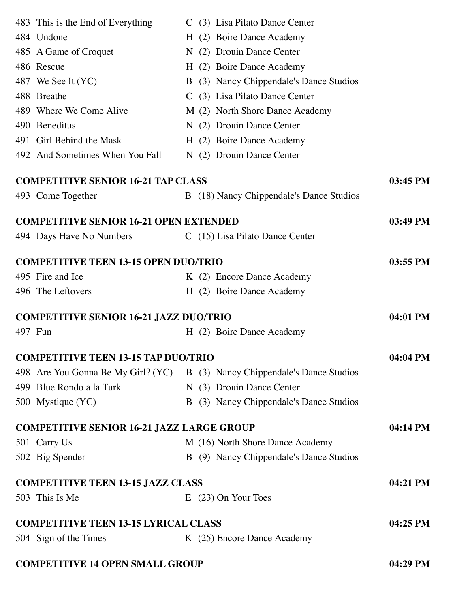|                                        | 483 This is the End of Everything                | C (3) Lisa Pilato Dance Center                                             |          |  |
|----------------------------------------|--------------------------------------------------|----------------------------------------------------------------------------|----------|--|
|                                        | 484 Undone                                       | H (2) Boire Dance Academy                                                  |          |  |
|                                        | 485 A Game of Croquet                            | N (2) Drouin Dance Center                                                  |          |  |
|                                        | 486 Rescue                                       | H (2) Boire Dance Academy                                                  |          |  |
|                                        | 487 We See It (YC)                               | B (3) Nancy Chippendale's Dance Studios                                    |          |  |
|                                        | 488 Breathe                                      | C (3) Lisa Pilato Dance Center                                             |          |  |
|                                        | 489 Where We Come Alive                          | M (2) North Shore Dance Academy                                            |          |  |
|                                        | 490 Beneditus                                    | N (2) Drouin Dance Center                                                  |          |  |
|                                        | 491 Girl Behind the Mask                         | H (2) Boire Dance Academy                                                  |          |  |
|                                        | 492 And Sometimes When You Fall                  | N (2) Drouin Dance Center                                                  |          |  |
|                                        | <b>COMPETITIVE SENIOR 16-21 TAP CLASS</b>        |                                                                            | 03:45 PM |  |
|                                        | 493 Come Together                                | B (18) Nancy Chippendale's Dance Studios                                   |          |  |
|                                        | <b>COMPETITIVE SENIOR 16-21 OPEN EXTENDED</b>    |                                                                            | 03:49 PM |  |
|                                        | 494 Days Have No Numbers                         | C (15) Lisa Pilato Dance Center                                            |          |  |
|                                        | <b>COMPETITIVE TEEN 13-15 OPEN DUO/TRIO</b>      |                                                                            | 03:55 PM |  |
|                                        | 495 Fire and Ice                                 | K (2) Encore Dance Academy                                                 |          |  |
|                                        | 496 The Leftovers                                | H (2) Boire Dance Academy                                                  |          |  |
|                                        | <b>COMPETITIVE SENIOR 16-21 JAZZ DUO/TRIO</b>    |                                                                            | 04:01 PM |  |
|                                        | 497 Fun                                          | H (2) Boire Dance Academy                                                  |          |  |
|                                        | <b>COMPETITIVE TEEN 13-15 TAP DUO/TRIO</b>       |                                                                            | 04:04 PM |  |
|                                        |                                                  | 498 Are You Gonna Be My Girl? (YC) B (3) Nancy Chippendale's Dance Studios |          |  |
|                                        | 499 Blue Rondo a la Turk                         | N (3) Drouin Dance Center                                                  |          |  |
|                                        | 500 Mystique (YC)                                | B (3) Nancy Chippendale's Dance Studios                                    |          |  |
|                                        | <b>COMPETITIVE SENIOR 16-21 JAZZ LARGE GROUP</b> |                                                                            | 04:14 PM |  |
|                                        | 501 Carry Us                                     | M (16) North Shore Dance Academy                                           |          |  |
|                                        | 502 Big Spender                                  | B (9) Nancy Chippendale's Dance Studios                                    |          |  |
|                                        | <b>COMPETITIVE TEEN 13-15 JAZZ CLASS</b>         |                                                                            | 04:21 PM |  |
|                                        | 503 This Is Me                                   | $E(23)$ On Your Toes                                                       |          |  |
|                                        | <b>COMPETITIVE TEEN 13-15 LYRICAL CLASS</b>      |                                                                            | 04:25 PM |  |
|                                        | 504 Sign of the Times                            | K (25) Encore Dance Academy                                                |          |  |
| <b>COMPETITIVE 14 OPEN SMALL GROUP</b> |                                                  |                                                                            |          |  |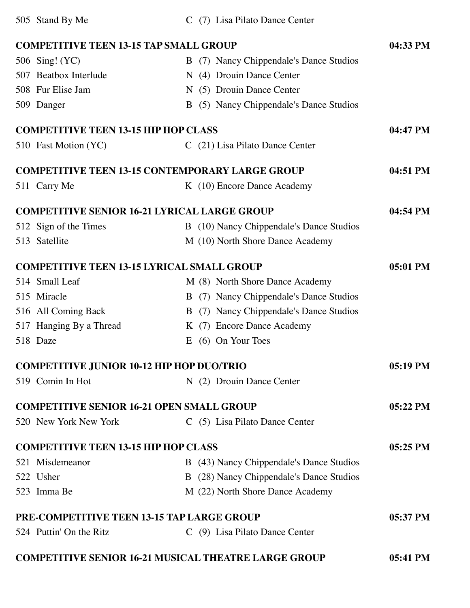| 505 Stand By Me                                     | C (7) Lisa Pilato Dance Center                              |          |
|-----------------------------------------------------|-------------------------------------------------------------|----------|
| <b>COMPETITIVE TEEN 13-15 TAP SMALL GROUP</b>       |                                                             | 04:33 PM |
| 506 Sing! (YC)                                      | B (7) Nancy Chippendale's Dance Studios                     |          |
| 507 Beatbox Interlude                               | N (4) Drouin Dance Center                                   |          |
| 508 Fur Elise Jam                                   | N (5) Drouin Dance Center                                   |          |
| 509 Danger                                          | (5) Nancy Chippendale's Dance Studios<br>B                  |          |
| <b>COMPETITIVE TEEN 13-15 HIP HOP CLASS</b>         |                                                             | 04:47 PM |
| 510 Fast Motion (YC)                                | C (21) Lisa Pilato Dance Center                             |          |
|                                                     | <b>COMPETITIVE TEEN 13-15 CONTEMPORARY LARGE GROUP</b>      | 04:51 PM |
| 511 Carry Me                                        | K (10) Encore Dance Academy                                 |          |
| <b>COMPETITIVE SENIOR 16-21 LYRICAL LARGE GROUP</b> |                                                             | 04:54 PM |
| 512 Sign of the Times                               | B (10) Nancy Chippendale's Dance Studios                    |          |
| 513 Satellite                                       | M (10) North Shore Dance Academy                            |          |
| <b>COMPETITIVE TEEN 13-15 LYRICAL SMALL GROUP</b>   |                                                             | 05:01 PM |
| 514 Small Leaf                                      | M (8) North Shore Dance Academy                             |          |
| 515 Miracle                                         | B (7) Nancy Chippendale's Dance Studios                     |          |
| 516 All Coming Back                                 | (7) Nancy Chippendale's Dance Studios<br>B                  |          |
| 517 Hanging By a Thread                             | K (7) Encore Dance Academy                                  |          |
| 518 Daze                                            | (6) On Your Toes<br>E                                       |          |
| <b>COMPETITIVE JUNIOR 10-12 HIP HOP DUO/TRIO</b>    |                                                             | 05:19 PM |
| 519 Comin In Hot                                    | N (2) Drouin Dance Center                                   |          |
| <b>COMPETITIVE SENIOR 16-21 OPEN SMALL GROUP</b>    |                                                             | 05:22 PM |
| 520 New York New York                               | C (5) Lisa Pilato Dance Center                              |          |
| <b>COMPETITIVE TEEN 13-15 HIP HOP CLASS</b>         |                                                             | 05:25 PM |
| 521 Misdemeanor                                     | B (43) Nancy Chippendale's Dance Studios                    |          |
| 522 Usher                                           | B (28) Nancy Chippendale's Dance Studios                    |          |
| 523 Imma Be                                         | M (22) North Shore Dance Academy                            |          |
| <b>PRE-COMPETITIVE TEEN 13-15 TAP LARGE GROUP</b>   |                                                             | 05:37 PM |
| 524 Puttin' On the Ritz                             | C (9) Lisa Pilato Dance Center                              |          |
|                                                     | <b>COMPETITIVE SENIOR 16-21 MUSICAL THEATRE LARGE GROUP</b> | 05:41 PM |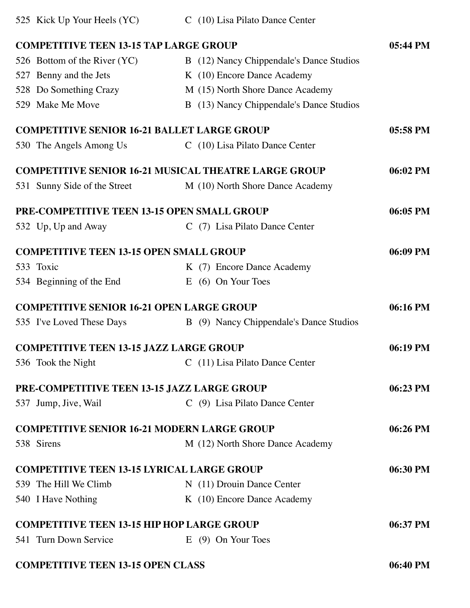| <b>COMPETITIVE TEEN 13-15 TAP LARGE GROUP</b>      |                                                             | 05:44 PM |  |  |
|----------------------------------------------------|-------------------------------------------------------------|----------|--|--|
| 526 Bottom of the River (YC)                       | B (12) Nancy Chippendale's Dance Studios                    |          |  |  |
| 527 Benny and the Jets                             | K (10) Encore Dance Academy                                 |          |  |  |
| 528 Do Something Crazy                             | M (15) North Shore Dance Academy                            |          |  |  |
| 529 Make Me Move                                   | B (13) Nancy Chippendale's Dance Studios                    |          |  |  |
| <b>COMPETITIVE SENIOR 16-21 BALLET LARGE GROUP</b> |                                                             | 05:58 PM |  |  |
| 530 The Angels Among Us                            | C (10) Lisa Pilato Dance Center                             |          |  |  |
|                                                    | <b>COMPETITIVE SENIOR 16-21 MUSICAL THEATRE LARGE GROUP</b> | 06:02 PM |  |  |
| 531 Sunny Side of the Street                       | M (10) North Shore Dance Academy                            |          |  |  |
| PRE-COMPETITIVE TEEN 13-15 OPEN SMALL GROUP        |                                                             | 06:05 PM |  |  |
| 532 Up, Up and Away                                | C (7) Lisa Pilato Dance Center                              |          |  |  |
| <b>COMPETITIVE TEEN 13-15 OPEN SMALL GROUP</b>     |                                                             | 06:09 PM |  |  |
| 533 Toxic                                          | K (7) Encore Dance Academy                                  |          |  |  |
| 534 Beginning of the End                           | $E(6)$ On Your Toes                                         |          |  |  |
| <b>COMPETITIVE SENIOR 16-21 OPEN LARGE GROUP</b>   |                                                             | 06:16 PM |  |  |
| 535 I've Loved These Days                          | B (9) Nancy Chippendale's Dance Studios                     |          |  |  |
| <b>COMPETITIVE TEEN 13-15 JAZZ LARGE GROUP</b>     |                                                             | 06:19 PM |  |  |
| 536 Took the Night                                 | C (11) Lisa Pilato Dance Center                             |          |  |  |
| PRE-COMPETITIVE TEEN 13-15 JAZZ LARGE GROUP        |                                                             | 06:23 PM |  |  |
| 537 Jump, Jive, Wail                               | C (9) Lisa Pilato Dance Center                              |          |  |  |
| <b>COMPETITIVE SENIOR 16-21 MODERN LARGE GROUP</b> |                                                             | 06:26 PM |  |  |
| 538 Sirens                                         | M (12) North Shore Dance Academy                            |          |  |  |
| <b>COMPETITIVE TEEN 13-15 LYRICAL LARGE GROUP</b>  |                                                             | 06:30 PM |  |  |
| 539 The Hill We Climb                              | N (11) Drouin Dance Center                                  |          |  |  |
| 540 I Have Nothing                                 | K (10) Encore Dance Academy                                 |          |  |  |
| <b>COMPETITIVE TEEN 13-15 HIP HOP LARGE GROUP</b>  |                                                             | 06:37 PM |  |  |
| 541 Turn Down Service                              | $E(9)$ On Your Toes                                         |          |  |  |
| <b>COMPETITIVE TEEN 13-15 OPEN CLASS</b>           |                                                             |          |  |  |